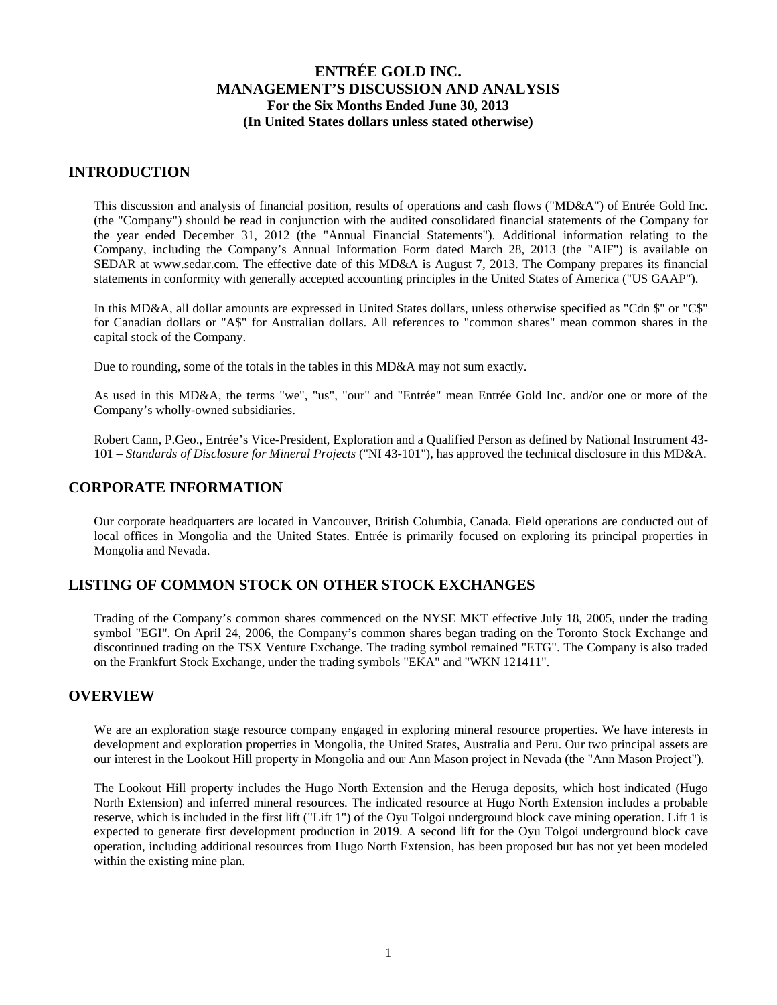#### **INTRODUCTION**

This discussion and analysis of financial position, results of operations and cash flows ("MD&A") of Entrée Gold Inc. (the "Company") should be read in conjunction with the audited consolidated financial statements of the Company for the year ended December 31, 2012 (the "Annual Financial Statements"). Additional information relating to the Company, including the Company's Annual Information Form dated March 28, 2013 (the "AIF") is available on SEDAR at www.sedar.com. The effective date of this MD&A is August 7, 2013. The Company prepares its financial statements in conformity with generally accepted accounting principles in the United States of America ("US GAAP").

In this MD&A, all dollar amounts are expressed in United States dollars, unless otherwise specified as "Cdn \$" or "C\$" for Canadian dollars or "A\$" for Australian dollars. All references to "common shares" mean common shares in the capital stock of the Company.

Due to rounding, some of the totals in the tables in this MD&A may not sum exactly.

As used in this MD&A, the terms "we", "us", "our" and "Entrée" mean Entrée Gold Inc. and/or one or more of the Company's wholly-owned subsidiaries.

Robert Cann, P.Geo., Entrée's Vice-President, Exploration and a Qualified Person as defined by National Instrument 43- 101 – *Standards of Disclosure for Mineral Projects* ("NI 43-101"), has approved the technical disclosure in this MD&A.

### **CORPORATE INFORMATION**

Our corporate headquarters are located in Vancouver, British Columbia, Canada. Field operations are conducted out of local offices in Mongolia and the United States. Entrée is primarily focused on exploring its principal properties in Mongolia and Nevada.

## **LISTING OF COMMON STOCK ON OTHER STOCK EXCHANGES**

Trading of the Company's common shares commenced on the NYSE MKT effective July 18, 2005, under the trading symbol "EGI". On April 24, 2006, the Company's common shares began trading on the Toronto Stock Exchange and discontinued trading on the TSX Venture Exchange. The trading symbol remained "ETG". The Company is also traded on the Frankfurt Stock Exchange, under the trading symbols "EKA" and "WKN 121411".

#### **OVERVIEW**

We are an exploration stage resource company engaged in exploring mineral resource properties. We have interests in development and exploration properties in Mongolia, the United States, Australia and Peru. Our two principal assets are our interest in the Lookout Hill property in Mongolia and our Ann Mason project in Nevada (the "Ann Mason Project").

The Lookout Hill property includes the Hugo North Extension and the Heruga deposits, which host indicated (Hugo North Extension) and inferred mineral resources. The indicated resource at Hugo North Extension includes a probable reserve, which is included in the first lift ("Lift 1") of the Oyu Tolgoi underground block cave mining operation. Lift 1 is expected to generate first development production in 2019. A second lift for the Oyu Tolgoi underground block cave operation, including additional resources from Hugo North Extension, has been proposed but has not yet been modeled within the existing mine plan.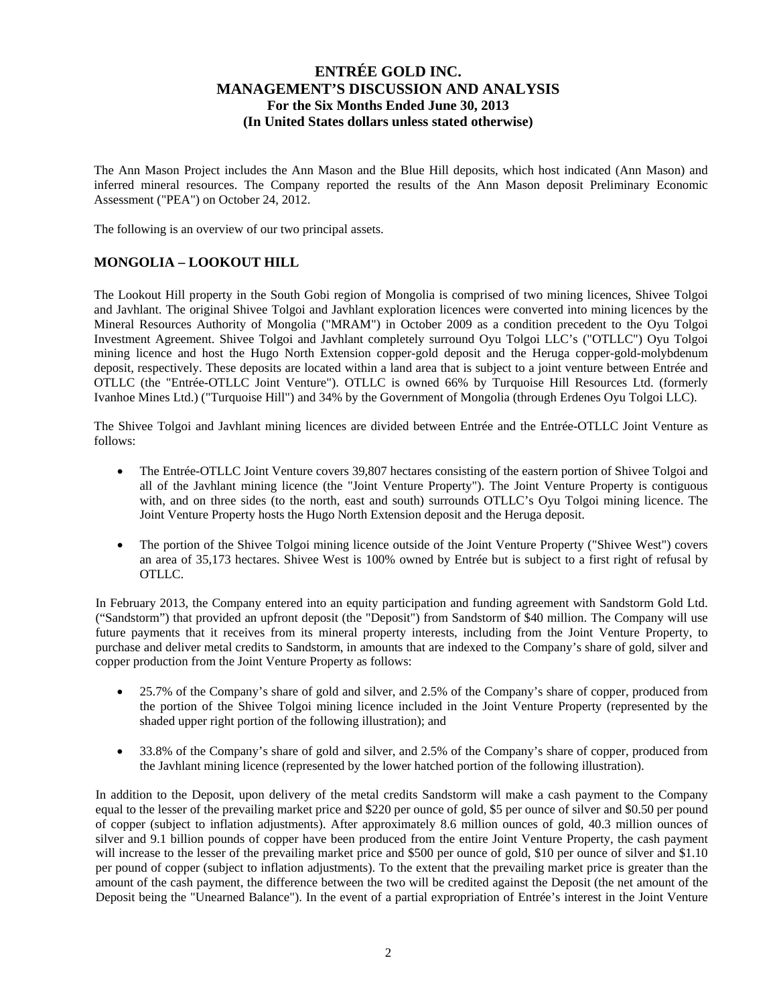The Ann Mason Project includes the Ann Mason and the Blue Hill deposits, which host indicated (Ann Mason) and inferred mineral resources. The Company reported the results of the Ann Mason deposit Preliminary Economic Assessment ("PEA") on October 24, 2012.

The following is an overview of our two principal assets.

## **MONGOLIA – LOOKOUT HILL**

The Lookout Hill property in the South Gobi region of Mongolia is comprised of two mining licences, Shivee Tolgoi and Javhlant. The original Shivee Tolgoi and Javhlant exploration licences were converted into mining licences by the Mineral Resources Authority of Mongolia ("MRAM") in October 2009 as a condition precedent to the Oyu Tolgoi Investment Agreement. Shivee Tolgoi and Javhlant completely surround Oyu Tolgoi LLC's ("OTLLC") Oyu Tolgoi mining licence and host the Hugo North Extension copper-gold deposit and the Heruga copper-gold-molybdenum deposit, respectively. These deposits are located within a land area that is subject to a joint venture between Entrée and OTLLC (the "Entrée-OTLLC Joint Venture"). OTLLC is owned 66% by Turquoise Hill Resources Ltd. (formerly Ivanhoe Mines Ltd.) ("Turquoise Hill") and 34% by the Government of Mongolia (through Erdenes Oyu Tolgoi LLC).

The Shivee Tolgoi and Javhlant mining licences are divided between Entrée and the Entrée-OTLLC Joint Venture as follows:

- The Entrée-OTLLC Joint Venture covers 39,807 hectares consisting of the eastern portion of Shivee Tolgoi and all of the Javhlant mining licence (the "Joint Venture Property"). The Joint Venture Property is contiguous with, and on three sides (to the north, east and south) surrounds OTLLC's Oyu Tolgoi mining licence. The Joint Venture Property hosts the Hugo North Extension deposit and the Heruga deposit.
- The portion of the Shivee Tolgoi mining licence outside of the Joint Venture Property ("Shivee West") covers an area of 35,173 hectares. Shivee West is 100% owned by Entrée but is subject to a first right of refusal by OTLLC.

In February 2013, the Company entered into an equity participation and funding agreement with Sandstorm Gold Ltd. ("Sandstorm") that provided an upfront deposit (the "Deposit") from Sandstorm of \$40 million. The Company will use future payments that it receives from its mineral property interests, including from the Joint Venture Property, to purchase and deliver metal credits to Sandstorm, in amounts that are indexed to the Company's share of gold, silver and copper production from the Joint Venture Property as follows:

- 25.7% of the Company's share of gold and silver, and 2.5% of the Company's share of copper, produced from the portion of the Shivee Tolgoi mining licence included in the Joint Venture Property (represented by the shaded upper right portion of the following illustration); and
- 33.8% of the Company's share of gold and silver, and 2.5% of the Company's share of copper, produced from the Javhlant mining licence (represented by the lower hatched portion of the following illustration).

In addition to the Deposit, upon delivery of the metal credits Sandstorm will make a cash payment to the Company equal to the lesser of the prevailing market price and \$220 per ounce of gold, \$5 per ounce of silver and \$0.50 per pound of copper (subject to inflation adjustments). After approximately 8.6 million ounces of gold, 40.3 million ounces of silver and 9.1 billion pounds of copper have been produced from the entire Joint Venture Property, the cash payment will increase to the lesser of the prevailing market price and \$500 per ounce of gold, \$10 per ounce of silver and \$1.10 per pound of copper (subject to inflation adjustments). To the extent that the prevailing market price is greater than the amount of the cash payment, the difference between the two will be credited against the Deposit (the net amount of the Deposit being the "Unearned Balance"). In the event of a partial expropriation of Entrée's interest in the Joint Venture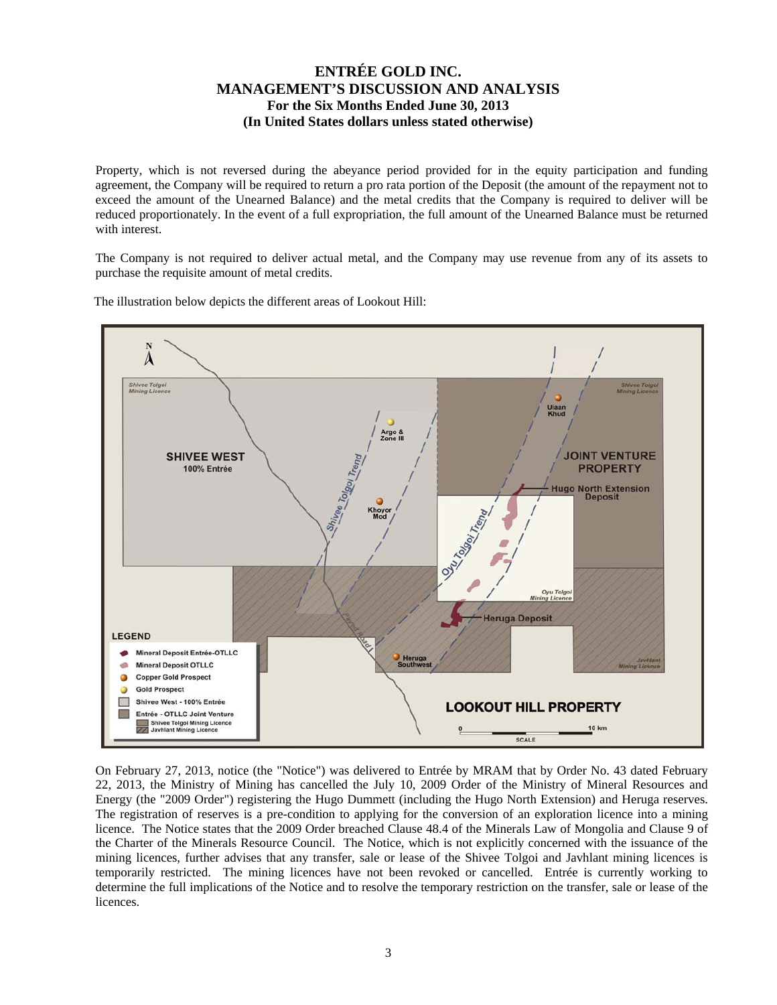Property, which is not reversed during the abeyance period provided for in the equity participation and funding agreement, the Company will be required to return a pro rata portion of the Deposit (the amount of the repayment not to exceed the amount of the Unearned Balance) and the metal credits that the Company is required to deliver will be reduced proportionately. In the event of a full expropriation, the full amount of the Unearned Balance must be returned with interest.

The Company is not required to deliver actual metal, and the Company may use revenue from any of its assets to purchase the requisite amount of metal credits.

The illustration below depicts the different areas of Lookout Hill:



On February 27, 2013, notice (the "Notice") was delivered to Entrée by MRAM that by Order No. 43 dated February 22, 2013, the Ministry of Mining has cancelled the July 10, 2009 Order of the Ministry of Mineral Resources and Energy (the "2009 Order") registering the Hugo Dummett (including the Hugo North Extension) and Heruga reserves. The registration of reserves is a pre-condition to applying for the conversion of an exploration licence into a mining licence. The Notice states that the 2009 Order breached Clause 48.4 of the Minerals Law of Mongolia and Clause 9 of the Charter of the Minerals Resource Council. The Notice, which is not explicitly concerned with the issuance of the mining licences, further advises that any transfer, sale or lease of the Shivee Tolgoi and Javhlant mining licences is temporarily restricted. The mining licences have not been revoked or cancelled. Entrée is currently working to determine the full implications of the Notice and to resolve the temporary restriction on the transfer, sale or lease of the licences.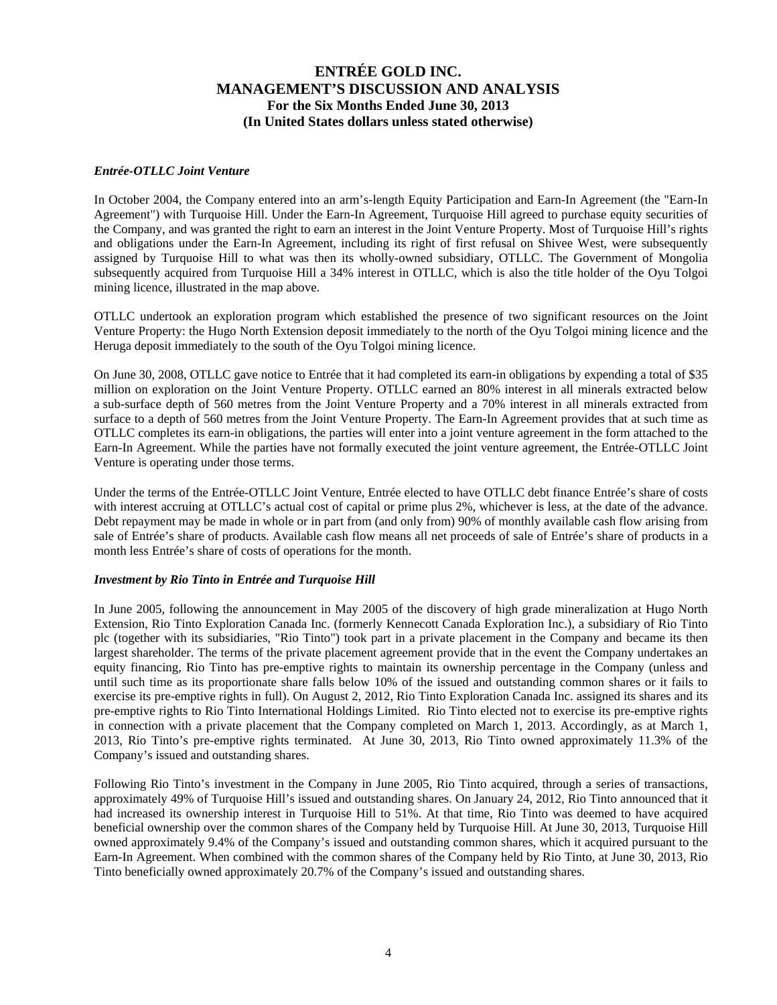#### *Entrée-OTLLC Joint Venture*

In October 2004, the Company entered into an arm's-length Equity Participation and Earn-In Agreement (the "Earn-In Agreement") with Turquoise Hill. Under the Earn-In Agreement, Turquoise Hill agreed to purchase equity securities of the Company, and was granted the right to earn an interest in the Joint Venture Property. Most of Turquoise Hill's rights and obligations under the Earn-In Agreement, including its right of first refusal on Shivee West, were subsequently assigned by Turquoise Hill to what was then its wholly-owned subsidiary, OTLLC. The Government of Mongolia subsequently acquired from Turquoise Hill a 34% interest in OTLLC, which is also the title holder of the Oyu Tolgoi mining licence, illustrated in the map above.

OTLLC undertook an exploration program which established the presence of two significant resources on the Joint Venture Property: the Hugo North Extension deposit immediately to the north of the Oyu Tolgoi mining licence and the Heruga deposit immediately to the south of the Oyu Tolgoi mining licence.

On June 30, 2008, OTLLC gave notice to Entrée that it had completed its earn-in obligations by expending a total of \$35 million on exploration on the Joint Venture Property. OTLLC earned an 80% interest in all minerals extracted below a sub-surface depth of 560 metres from the Joint Venture Property and a 70% interest in all minerals extracted from surface to a depth of 560 metres from the Joint Venture Property. The Earn-In Agreement provides that at such time as OTLLC completes its earn-in obligations, the parties will enter into a joint venture agreement in the form attached to the Earn-In Agreement. While the parties have not formally executed the joint venture agreement, the Entrée-OTLLC Joint Venture is operating under those terms.

Under the terms of the Entrée-OTLLC Joint Venture, Entrée elected to have OTLLC debt finance Entrée's share of costs with interest accruing at OTLLC's actual cost of capital or prime plus 2%, whichever is less, at the date of the advance. Debt repayment may be made in whole or in part from (and only from) 90% of monthly available cash flow arising from sale of Entrée's share of products. Available cash flow means all net proceeds of sale of Entrée's share of products in a month less Entrée's share of costs of operations for the month.

#### *Investment by Rio Tinto in Entrée and Turquoise Hill*

In June 2005, following the announcement in May 2005 of the discovery of high grade mineralization at Hugo North Extension, Rio Tinto Exploration Canada Inc. (formerly Kennecott Canada Exploration Inc.), a subsidiary of Rio Tinto plc (together with its subsidiaries, "Rio Tinto") took part in a private placement in the Company and became its then largest shareholder. The terms of the private placement agreement provide that in the event the Company undertakes an equity financing, Rio Tinto has pre-emptive rights to maintain its ownership percentage in the Company (unless and until such time as its proportionate share falls below 10% of the issued and outstanding common shares or it fails to exercise its pre-emptive rights in full). On August 2, 2012, Rio Tinto Exploration Canada Inc. assigned its shares and its pre-emptive rights to Rio Tinto International Holdings Limited. Rio Tinto elected not to exercise its pre-emptive rights in connection with a private placement that the Company completed on March 1, 2013. Accordingly, as at March 1, 2013, Rio Tinto's pre-emptive rights terminated. At June 30, 2013, Rio Tinto owned approximately 11.3% of the Company's issued and outstanding shares.

Following Rio Tinto's investment in the Company in June 2005, Rio Tinto acquired, through a series of transactions, approximately 49% of Turquoise Hill's issued and outstanding shares. On January 24, 2012, Rio Tinto announced that it had increased its ownership interest in Turquoise Hill to 51%. At that time, Rio Tinto was deemed to have acquired beneficial ownership over the common shares of the Company held by Turquoise Hill. At June 30, 2013, Turquoise Hill owned approximately 9.4% of the Company's issued and outstanding common shares, which it acquired pursuant to the Earn-In Agreement. When combined with the common shares of the Company held by Rio Tinto, at June 30, 2013, Rio Tinto beneficially owned approximately 20.7% of the Company's issued and outstanding shares.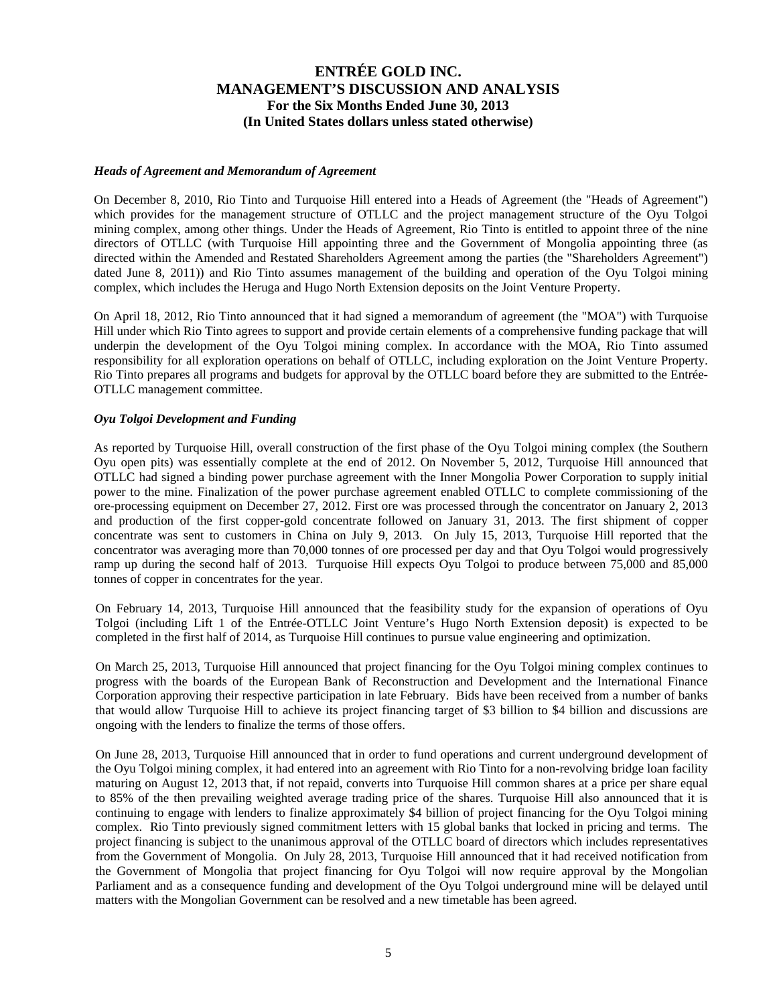#### *Heads of Agreement and Memorandum of Agreement*

On December 8, 2010, Rio Tinto and Turquoise Hill entered into a Heads of Agreement (the "Heads of Agreement") which provides for the management structure of OTLLC and the project management structure of the Oyu Tolgoi mining complex, among other things. Under the Heads of Agreement, Rio Tinto is entitled to appoint three of the nine directors of OTLLC (with Turquoise Hill appointing three and the Government of Mongolia appointing three (as directed within the Amended and Restated Shareholders Agreement among the parties (the "Shareholders Agreement") dated June 8, 2011)) and Rio Tinto assumes management of the building and operation of the Oyu Tolgoi mining complex, which includes the Heruga and Hugo North Extension deposits on the Joint Venture Property.

On April 18, 2012, Rio Tinto announced that it had signed a memorandum of agreement (the "MOA") with Turquoise Hill under which Rio Tinto agrees to support and provide certain elements of a comprehensive funding package that will underpin the development of the Oyu Tolgoi mining complex. In accordance with the MOA, Rio Tinto assumed responsibility for all exploration operations on behalf of OTLLC, including exploration on the Joint Venture Property. Rio Tinto prepares all programs and budgets for approval by the OTLLC board before they are submitted to the Entrée-OTLLC management committee.

#### *Oyu Tolgoi Development and Funding*

As reported by Turquoise Hill, overall construction of the first phase of the Oyu Tolgoi mining complex (the Southern Oyu open pits) was essentially complete at the end of 2012. On November 5, 2012, Turquoise Hill announced that OTLLC had signed a binding power purchase agreement with the Inner Mongolia Power Corporation to supply initial power to the mine. Finalization of the power purchase agreement enabled OTLLC to complete commissioning of the ore-processing equipment on December 27, 2012. First ore was processed through the concentrator on January 2, 2013 and production of the first copper-gold concentrate followed on January 31, 2013. The first shipment of copper concentrate was sent to customers in China on July 9, 2013. On July 15, 2013, Turquoise Hill reported that the concentrator was averaging more than 70,000 tonnes of ore processed per day and that Oyu Tolgoi would progressively ramp up during the second half of 2013. Turquoise Hill expects Oyu Tolgoi to produce between 75,000 and 85,000 tonnes of copper in concentrates for the year.

On February 14, 2013, Turquoise Hill announced that the feasibility study for the expansion of operations of Oyu Tolgoi (including Lift 1 of the Entrée-OTLLC Joint Venture's Hugo North Extension deposit) is expected to be completed in the first half of 2014, as Turquoise Hill continues to pursue value engineering and optimization.

On March 25, 2013, Turquoise Hill announced that project financing for the Oyu Tolgoi mining complex continues to progress with the boards of the European Bank of Reconstruction and Development and the International Finance Corporation approving their respective participation in late February. Bids have been received from a number of banks that would allow Turquoise Hill to achieve its project financing target of \$3 billion to \$4 billion and discussions are ongoing with the lenders to finalize the terms of those offers.

On June 28, 2013, Turquoise Hill announced that in order to fund operations and current underground development of the Oyu Tolgoi mining complex, it had entered into an agreement with Rio Tinto for a non-revolving bridge loan facility maturing on August 12, 2013 that, if not repaid, converts into Turquoise Hill common shares at a price per share equal to 85% of the then prevailing weighted average trading price of the shares. Turquoise Hill also announced that it is continuing to engage with lenders to finalize approximately \$4 billion of project financing for the Oyu Tolgoi mining complex. Rio Tinto previously signed commitment letters with 15 global banks that locked in pricing and terms. The project financing is subject to the unanimous approval of the OTLLC board of directors which includes representatives from the Government of Mongolia. On July 28, 2013, Turquoise Hill announced that it had received notification from the Government of Mongolia that project financing for Oyu Tolgoi will now require approval by the Mongolian Parliament and as a consequence funding and development of the Oyu Tolgoi underground mine will be delayed until matters with the Mongolian Government can be resolved and a new timetable has been agreed.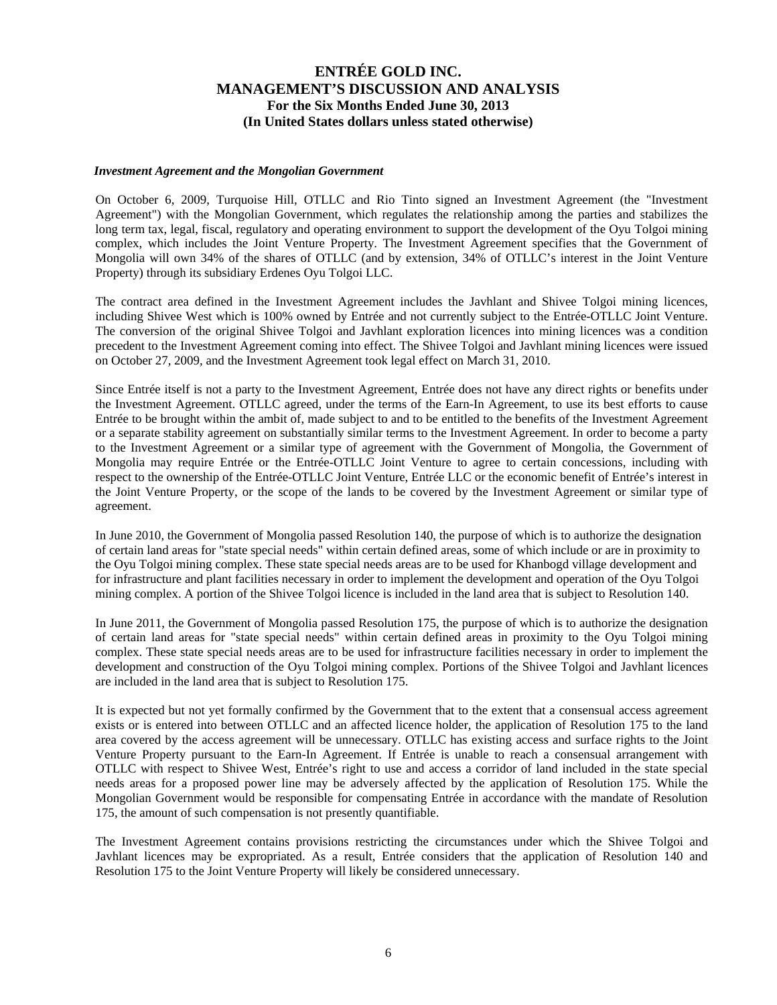#### *Investment Agreement and the Mongolian Government*

On October 6, 2009, Turquoise Hill, OTLLC and Rio Tinto signed an Investment Agreement (the "Investment Agreement") with the Mongolian Government, which regulates the relationship among the parties and stabilizes the long term tax, legal, fiscal, regulatory and operating environment to support the development of the Oyu Tolgoi mining complex, which includes the Joint Venture Property. The Investment Agreement specifies that the Government of Mongolia will own 34% of the shares of OTLLC (and by extension, 34% of OTLLC's interest in the Joint Venture Property) through its subsidiary Erdenes Oyu Tolgoi LLC.

The contract area defined in the Investment Agreement includes the Javhlant and Shivee Tolgoi mining licences, including Shivee West which is 100% owned by Entrée and not currently subject to the Entrée-OTLLC Joint Venture. The conversion of the original Shivee Tolgoi and Javhlant exploration licences into mining licences was a condition precedent to the Investment Agreement coming into effect. The Shivee Tolgoi and Javhlant mining licences were issued on October 27, 2009, and the Investment Agreement took legal effect on March 31, 2010.

Since Entrée itself is not a party to the Investment Agreement, Entrée does not have any direct rights or benefits under the Investment Agreement. OTLLC agreed, under the terms of the Earn-In Agreement, to use its best efforts to cause Entrée to be brought within the ambit of, made subject to and to be entitled to the benefits of the Investment Agreement or a separate stability agreement on substantially similar terms to the Investment Agreement. In order to become a party to the Investment Agreement or a similar type of agreement with the Government of Mongolia, the Government of Mongolia may require Entrée or the Entrée-OTLLC Joint Venture to agree to certain concessions, including with respect to the ownership of the Entrée-OTLLC Joint Venture, Entrée LLC or the economic benefit of Entrée's interest in the Joint Venture Property, or the scope of the lands to be covered by the Investment Agreement or similar type of agreement.

In June 2010, the Government of Mongolia passed Resolution 140, the purpose of which is to authorize the designation of certain land areas for "state special needs" within certain defined areas, some of which include or are in proximity to the Oyu Tolgoi mining complex. These state special needs areas are to be used for Khanbogd village development and for infrastructure and plant facilities necessary in order to implement the development and operation of the Oyu Tolgoi mining complex. A portion of the Shivee Tolgoi licence is included in the land area that is subject to Resolution 140.

In June 2011, the Government of Mongolia passed Resolution 175, the purpose of which is to authorize the designation of certain land areas for "state special needs" within certain defined areas in proximity to the Oyu Tolgoi mining complex. These state special needs areas are to be used for infrastructure facilities necessary in order to implement the development and construction of the Oyu Tolgoi mining complex. Portions of the Shivee Tolgoi and Javhlant licences are included in the land area that is subject to Resolution 175.

It is expected but not yet formally confirmed by the Government that to the extent that a consensual access agreement exists or is entered into between OTLLC and an affected licence holder, the application of Resolution 175 to the land area covered by the access agreement will be unnecessary. OTLLC has existing access and surface rights to the Joint Venture Property pursuant to the Earn-In Agreement. If Entrée is unable to reach a consensual arrangement with OTLLC with respect to Shivee West, Entrée's right to use and access a corridor of land included in the state special needs areas for a proposed power line may be adversely affected by the application of Resolution 175. While the Mongolian Government would be responsible for compensating Entrée in accordance with the mandate of Resolution 175, the amount of such compensation is not presently quantifiable.

The Investment Agreement contains provisions restricting the circumstances under which the Shivee Tolgoi and Javhlant licences may be expropriated. As a result, Entrée considers that the application of Resolution 140 and Resolution 175 to the Joint Venture Property will likely be considered unnecessary.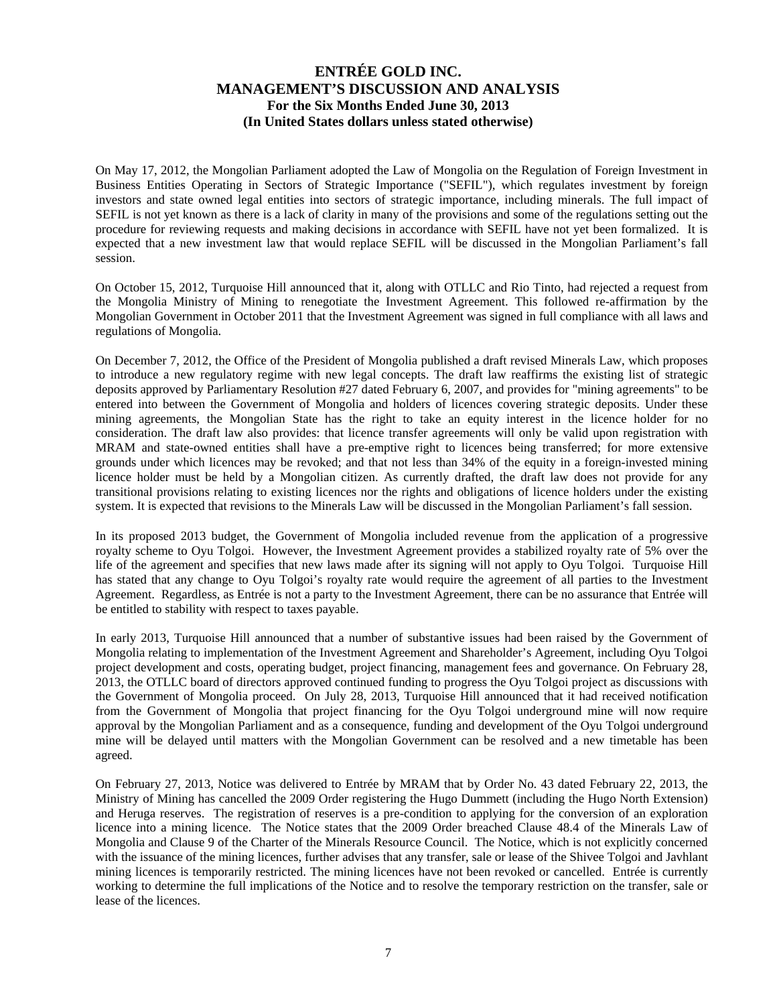On May 17, 2012, the Mongolian Parliament adopted the Law of Mongolia on the Regulation of Foreign Investment in Business Entities Operating in Sectors of Strategic Importance ("SEFIL"), which regulates investment by foreign investors and state owned legal entities into sectors of strategic importance, including minerals. The full impact of SEFIL is not yet known as there is a lack of clarity in many of the provisions and some of the regulations setting out the procedure for reviewing requests and making decisions in accordance with SEFIL have not yet been formalized. It is expected that a new investment law that would replace SEFIL will be discussed in the Mongolian Parliament's fall session.

On October 15, 2012, Turquoise Hill announced that it, along with OTLLC and Rio Tinto, had rejected a request from the Mongolia Ministry of Mining to renegotiate the Investment Agreement. This followed re-affirmation by the Mongolian Government in October 2011 that the Investment Agreement was signed in full compliance with all laws and regulations of Mongolia.

On December 7, 2012, the Office of the President of Mongolia published a draft revised Minerals Law, which proposes to introduce a new regulatory regime with new legal concepts. The draft law reaffirms the existing list of strategic deposits approved by Parliamentary Resolution #27 dated February 6, 2007, and provides for "mining agreements" to be entered into between the Government of Mongolia and holders of licences covering strategic deposits. Under these mining agreements, the Mongolian State has the right to take an equity interest in the licence holder for no consideration. The draft law also provides: that licence transfer agreements will only be valid upon registration with MRAM and state-owned entities shall have a pre-emptive right to licences being transferred; for more extensive grounds under which licences may be revoked; and that not less than 34% of the equity in a foreign-invested mining licence holder must be held by a Mongolian citizen. As currently drafted, the draft law does not provide for any transitional provisions relating to existing licences nor the rights and obligations of licence holders under the existing system. It is expected that revisions to the Minerals Law will be discussed in the Mongolian Parliament's fall session.

In its proposed 2013 budget, the Government of Mongolia included revenue from the application of a progressive royalty scheme to Oyu Tolgoi. However, the Investment Agreement provides a stabilized royalty rate of 5% over the life of the agreement and specifies that new laws made after its signing will not apply to Oyu Tolgoi. Turquoise Hill has stated that any change to Oyu Tolgoi's royalty rate would require the agreement of all parties to the Investment Agreement. Regardless, as Entrée is not a party to the Investment Agreement, there can be no assurance that Entrée will be entitled to stability with respect to taxes payable.

In early 2013, Turquoise Hill announced that a number of substantive issues had been raised by the Government of Mongolia relating to implementation of the Investment Agreement and Shareholder's Agreement, including Oyu Tolgoi project development and costs, operating budget, project financing, management fees and governance. On February 28, 2013, the OTLLC board of directors approved continued funding to progress the Oyu Tolgoi project as discussions with the Government of Mongolia proceed. On July 28, 2013, Turquoise Hill announced that it had received notification from the Government of Mongolia that project financing for the Oyu Tolgoi underground mine will now require approval by the Mongolian Parliament and as a consequence, funding and development of the Oyu Tolgoi underground mine will be delayed until matters with the Mongolian Government can be resolved and a new timetable has been agreed.

On February 27, 2013, Notice was delivered to Entrée by MRAM that by Order No. 43 dated February 22, 2013, the Ministry of Mining has cancelled the 2009 Order registering the Hugo Dummett (including the Hugo North Extension) and Heruga reserves. The registration of reserves is a pre-condition to applying for the conversion of an exploration licence into a mining licence. The Notice states that the 2009 Order breached Clause 48.4 of the Minerals Law of Mongolia and Clause 9 of the Charter of the Minerals Resource Council. The Notice, which is not explicitly concerned with the issuance of the mining licences, further advises that any transfer, sale or lease of the Shivee Tolgoi and Javhlant mining licences is temporarily restricted. The mining licences have not been revoked or cancelled. Entrée is currently working to determine the full implications of the Notice and to resolve the temporary restriction on the transfer, sale or lease of the licences.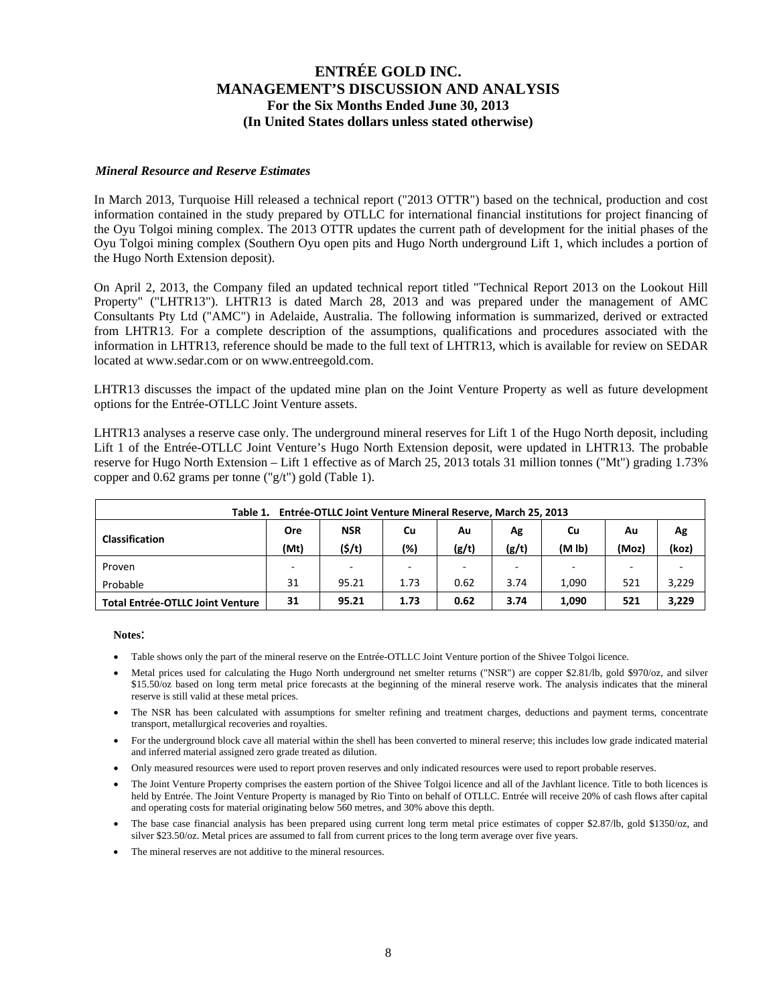#### *Mineral Resource and Reserve Estimates*

In March 2013, Turquoise Hill released a technical report ("2013 OTTR") based on the technical, production and cost information contained in the study prepared by OTLLC for international financial institutions for project financing of the Oyu Tolgoi mining complex. The 2013 OTTR updates the current path of development for the initial phases of the Oyu Tolgoi mining complex (Southern Oyu open pits and Hugo North underground Lift 1, which includes a portion of the Hugo North Extension deposit).

On April 2, 2013, the Company filed an updated technical report titled "Technical Report 2013 on the Lookout Hill Property" ("LHTR13"). LHTR13 is dated March 28, 2013 and was prepared under the management of AMC Consultants Pty Ltd ("AMC") in Adelaide, Australia. The following information is summarized, derived or extracted from LHTR13. For a complete description of the assumptions, qualifications and procedures associated with the information in LHTR13, reference should be made to the full text of LHTR13, which is available for review on SEDAR located at www.sedar.com or on www.entreegold.com.

LHTR13 discusses the impact of the updated mine plan on the Joint Venture Property as well as future development options for the Entrée-OTLLC Joint Venture assets.

LHTR13 analyses a reserve case only. The underground mineral reserves for Lift 1 of the Hugo North deposit, including Lift 1 of the Entrée-OTLLC Joint Venture's Hugo North Extension deposit, were updated in LHTR13. The probable reserve for Hugo North Extension – Lift 1 effective as of March 25, 2013 totals 31 million tonnes ("Mt") grading 1.73% copper and 0.62 grams per tonne ("g/t") gold (Table 1).

| Entrée-OTLLC Joint Venture Mineral Reserve, March 25, 2013<br>Table 1. |      |                          |      |       |       |                    |       |       |  |  |  |  |
|------------------------------------------------------------------------|------|--------------------------|------|-------|-------|--------------------|-------|-------|--|--|--|--|
| <b>NSR</b><br>Cu<br>Ore<br>Cu<br>Ag<br>Αu<br>Au                        |      |                          |      |       |       |                    |       |       |  |  |  |  |
| <b>Classification</b>                                                  | (Mt) | (5/t)                    | (%)  | (g/t) | (g/t) | (M <sub>1b</sub> ) | (Moz) | (koz) |  |  |  |  |
| Proven                                                                 | -    | $\overline{\phantom{a}}$ | -    |       |       |                    |       |       |  |  |  |  |
| Probable                                                               | 31   | 95.21                    | 1.73 | 0.62  | 3.74  | 1.090              | 521   | 3,229 |  |  |  |  |
| <b>Total Entrée-OTLLC Joint Venture</b>                                | 31   | 95.21                    | 1.73 | 0.62  | 3.74  | 1,090              | 521   | 3,229 |  |  |  |  |

**Notes**:

- Table shows only the part of the mineral reserve on the Entrée-OTLLC Joint Venture portion of the Shivee Tolgoi licence.
- Metal prices used for calculating the Hugo North underground net smelter returns ("NSR") are copper \$2.81/lb, gold \$970/oz, and silver \$15.50/oz based on long term metal price forecasts at the beginning of the mineral reserve work. The analysis indicates that the mineral reserve is still valid at these metal prices.
- The NSR has been calculated with assumptions for smelter refining and treatment charges, deductions and payment terms, concentrate transport, metallurgical recoveries and royalties.
- For the underground block cave all material within the shell has been converted to mineral reserve; this includes low grade indicated material and inferred material assigned zero grade treated as dilution.
- Only measured resources were used to report proven reserves and only indicated resources were used to report probable reserves.
- The Joint Venture Property comprises the eastern portion of the Shivee Tolgoi licence and all of the Javhlant licence. Title to both licences is held by Entrée. The Joint Venture Property is managed by Rio Tinto on behalf of OTLLC. Entrée will receive 20% of cash flows after capital and operating costs for material originating below 560 metres, and 30% above this depth.
- The base case financial analysis has been prepared using current long term metal price estimates of copper \$2.87/lb, gold \$1350/oz, and silver \$23.50/oz. Metal prices are assumed to fall from current prices to the long term average over five years.
- The mineral reserves are not additive to the mineral resources.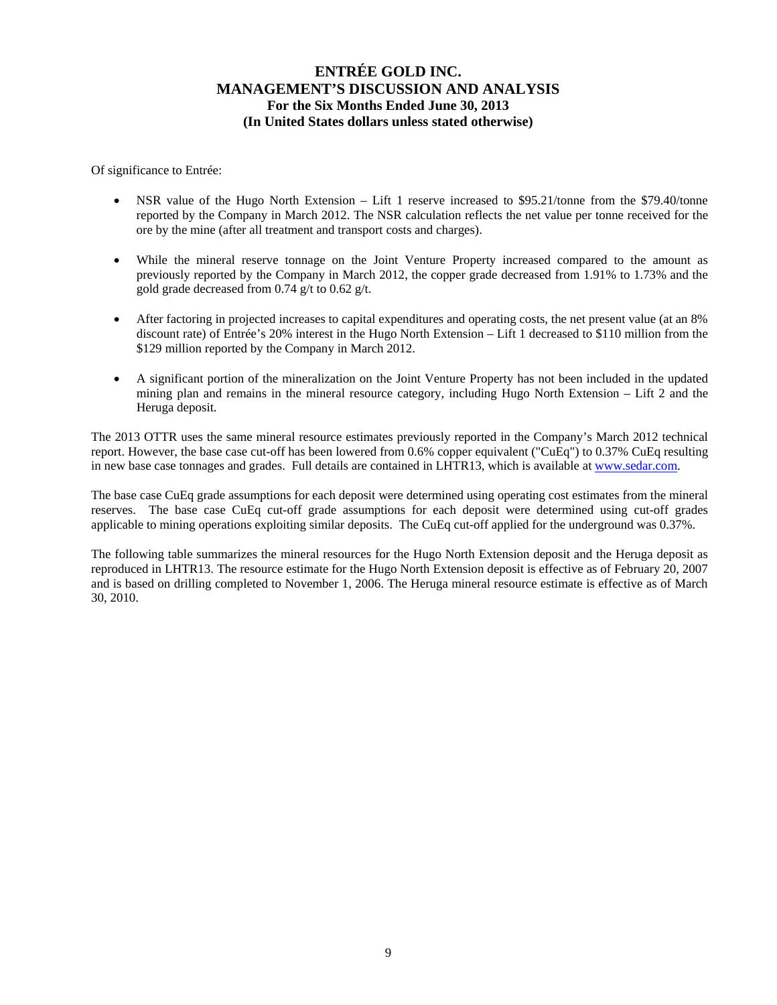Of significance to Entrée:

- NSR value of the Hugo North Extension Lift 1 reserve increased to \$95.21/tonne from the \$79.40/tonne reported by the Company in March 2012. The NSR calculation reflects the net value per tonne received for the ore by the mine (after all treatment and transport costs and charges).
- While the mineral reserve tonnage on the Joint Venture Property increased compared to the amount as previously reported by the Company in March 2012, the copper grade decreased from 1.91% to 1.73% and the gold grade decreased from 0.74 g/t to 0.62 g/t.
- After factoring in projected increases to capital expenditures and operating costs, the net present value (at an 8% discount rate) of Entrée's 20% interest in the Hugo North Extension – Lift 1 decreased to \$110 million from the \$129 million reported by the Company in March 2012.
- A significant portion of the mineralization on the Joint Venture Property has not been included in the updated mining plan and remains in the mineral resource category, including Hugo North Extension – Lift 2 and the Heruga deposit.

The 2013 OTTR uses the same mineral resource estimates previously reported in the Company's March 2012 technical report. However, the base case cut-off has been lowered from 0.6% copper equivalent ("CuEq") to 0.37% CuEq resulting in new base case tonnages and grades. Full details are contained in LHTR13, which is available at www.sedar.com.

The base case CuEq grade assumptions for each deposit were determined using operating cost estimates from the mineral reserves. The base case CuEq cut-off grade assumptions for each deposit were determined using cut-off grades applicable to mining operations exploiting similar deposits. The CuEq cut-off applied for the underground was 0.37%.

The following table summarizes the mineral resources for the Hugo North Extension deposit and the Heruga deposit as reproduced in LHTR13. The resource estimate for the Hugo North Extension deposit is effective as of February 20, 2007 and is based on drilling completed to November 1, 2006. The Heruga mineral resource estimate is effective as of March 30, 2010.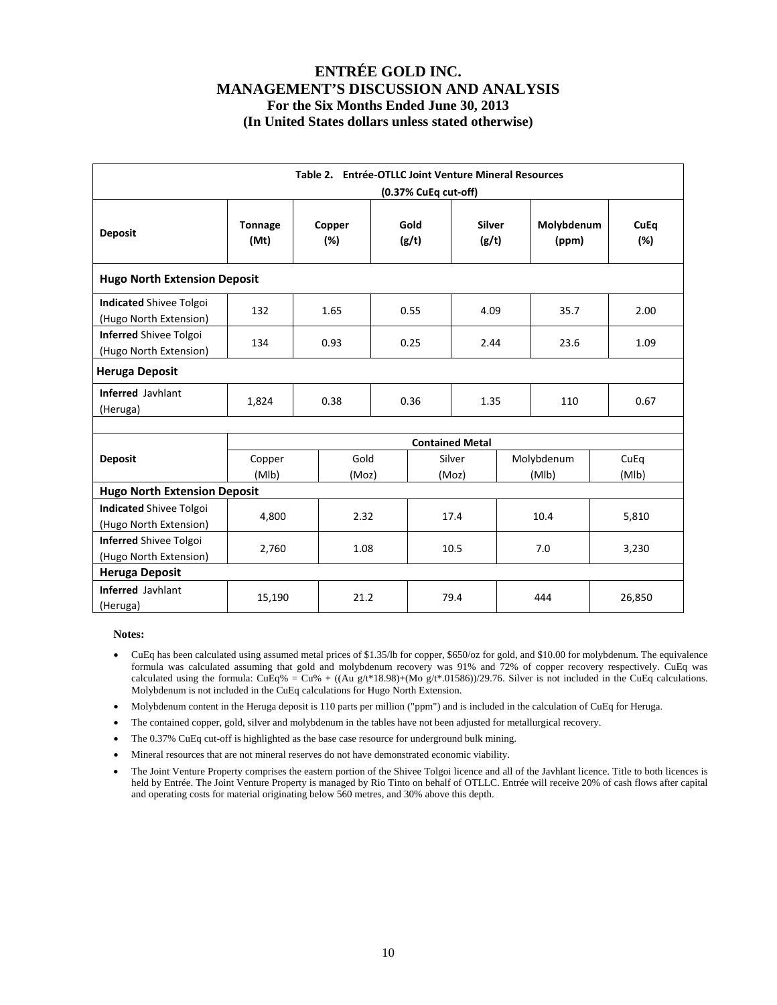| Table 2. Entrée-OTLLC Joint Venture Mineral Resources<br>(0.37% CuEq cut-off) |                        |               |              |               |                        |                     |                     |      |                    |  |  |
|-------------------------------------------------------------------------------|------------------------|---------------|--------------|---------------|------------------------|---------------------|---------------------|------|--------------------|--|--|
| <b>Deposit</b>                                                                | <b>Tonnage</b><br>(Mt) | Copper<br>(%) |              | Gold<br>(g/t) | <b>Silver</b><br>(g/t) |                     | Molybdenum<br>(ppm) |      | <b>CuEq</b><br>(%) |  |  |
| <b>Hugo North Extension Deposit</b>                                           |                        |               |              |               |                        |                     |                     |      |                    |  |  |
| <b>Indicated Shivee Tolgoi</b><br>(Hugo North Extension)                      | 132                    | 1.65          |              | 0.55          | 4.09                   |                     | 35.7                |      | 2.00               |  |  |
| <b>Inferred Shivee Tolgoi</b><br>(Hugo North Extension)                       | 134                    | 0.93          | 0.25<br>2.44 |               | 23.6                   |                     |                     | 1.09 |                    |  |  |
| <b>Heruga Deposit</b>                                                         |                        |               |              |               |                        |                     |                     |      |                    |  |  |
| <b>Inferred Javhlant</b><br>(Heruga)                                          | 1,824                  | 0.38          | 0.36         |               | 1.35                   |                     | 110                 |      | 0.67               |  |  |
|                                                                               |                        |               |              |               | <b>Contained Metal</b> |                     |                     |      |                    |  |  |
| <b>Deposit</b>                                                                | Copper<br>(MIb)        | Gold<br>(Moz) |              |               | Silver<br>(Moz)        | Molybdenum<br>(MIb) |                     |      | CuEq<br>(MIb)      |  |  |
| <b>Hugo North Extension Deposit</b>                                           |                        |               |              |               |                        |                     |                     |      |                    |  |  |
| <b>Indicated Shivee Tolgoi</b><br>(Hugo North Extension)                      | 4,800                  | 2.32          |              |               | 17.4                   |                     | 10.4                |      | 5,810              |  |  |
| <b>Inferred Shivee Tolgoi</b><br>(Hugo North Extension)                       | 2,760                  | 1.08          |              |               | 10.5                   |                     | 7.0                 |      | 3,230              |  |  |
| <b>Heruga Deposit</b>                                                         |                        |               |              |               |                        |                     |                     |      |                    |  |  |
| Inferred Javhlant<br>(Heruga)                                                 | 15,190                 | 21.2          |              |               | 79.4                   |                     | 444                 |      | 26,850             |  |  |

#### **Notes:**

- CuEq has been calculated using assumed metal prices of \$1.35/lb for copper, \$650/oz for gold, and \$10.00 for molybdenum. The equivalence formula was calculated assuming that gold and molybdenum recovery was 91% and 72% of copper recovery respectively. CuEq was calculated using the formula: CuEq% = Cu% + ((Au g/t\*18.98)+(Mo g/t\*.01586))/29.76. Silver is not included in the CuEq calculations. Molybdenum is not included in the CuEq calculations for Hugo North Extension.
- Molybdenum content in the Heruga deposit is 110 parts per million ("ppm") and is included in the calculation of CuEq for Heruga.
- The contained copper, gold, silver and molybdenum in the tables have not been adjusted for metallurgical recovery.
- The 0.37% CuEq cut-off is highlighted as the base case resource for underground bulk mining.
- Mineral resources that are not mineral reserves do not have demonstrated economic viability.
- The Joint Venture Property comprises the eastern portion of the Shivee Tolgoi licence and all of the Javhlant licence. Title to both licences is held by Entrée. The Joint Venture Property is managed by Rio Tinto on behalf of OTLLC. Entrée will receive 20% of cash flows after capital and operating costs for material originating below 560 metres, and 30% above this depth.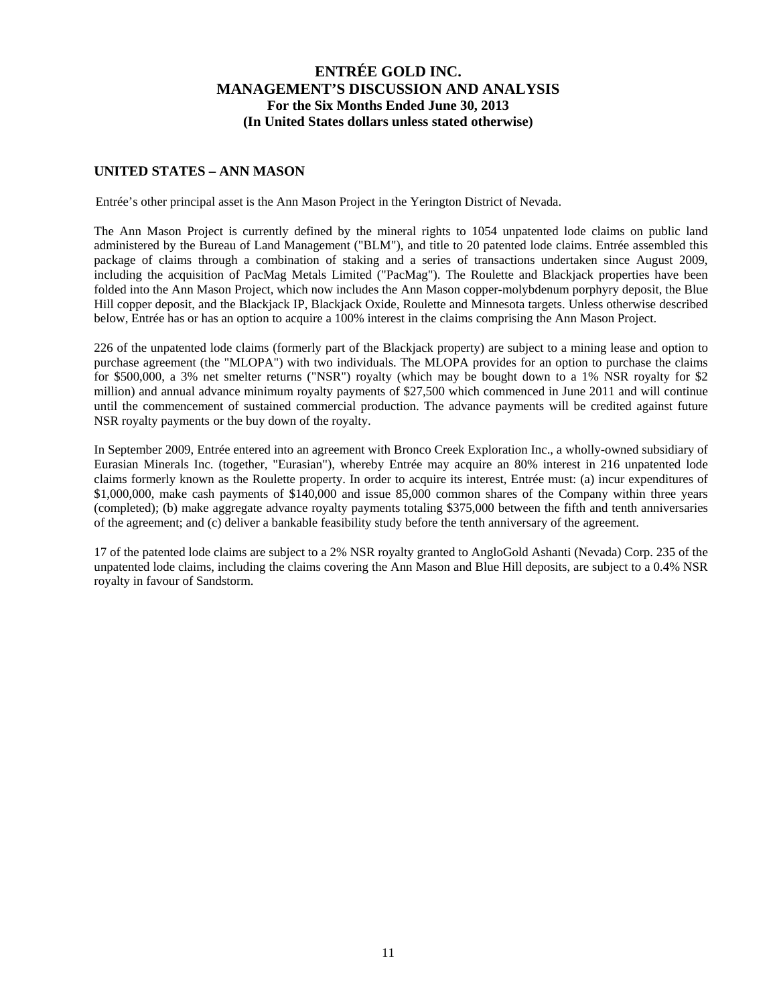#### **UNITED STATES – ANN MASON**

Entrée's other principal asset is the Ann Mason Project in the Yerington District of Nevada.

The Ann Mason Project is currently defined by the mineral rights to 1054 unpatented lode claims on public land administered by the Bureau of Land Management ("BLM"), and title to 20 patented lode claims. Entrée assembled this package of claims through a combination of staking and a series of transactions undertaken since August 2009, including the acquisition of PacMag Metals Limited ("PacMag"). The Roulette and Blackjack properties have been folded into the Ann Mason Project, which now includes the Ann Mason copper-molybdenum porphyry deposit, the Blue Hill copper deposit, and the Blackjack IP, Blackjack Oxide, Roulette and Minnesota targets. Unless otherwise described below, Entrée has or has an option to acquire a 100% interest in the claims comprising the Ann Mason Project.

226 of the unpatented lode claims (formerly part of the Blackjack property) are subject to a mining lease and option to purchase agreement (the "MLOPA") with two individuals. The MLOPA provides for an option to purchase the claims for \$500,000, a 3% net smelter returns ("NSR") royalty (which may be bought down to a 1% NSR royalty for \$2 million) and annual advance minimum royalty payments of \$27,500 which commenced in June 2011 and will continue until the commencement of sustained commercial production. The advance payments will be credited against future NSR royalty payments or the buy down of the royalty.

In September 2009, Entrée entered into an agreement with Bronco Creek Exploration Inc., a wholly-owned subsidiary of Eurasian Minerals Inc. (together, "Eurasian"), whereby Entrée may acquire an 80% interest in 216 unpatented lode claims formerly known as the Roulette property. In order to acquire its interest, Entrée must: (a) incur expenditures of \$1,000,000, make cash payments of \$140,000 and issue 85,000 common shares of the Company within three years (completed); (b) make aggregate advance royalty payments totaling \$375,000 between the fifth and tenth anniversaries of the agreement; and (c) deliver a bankable feasibility study before the tenth anniversary of the agreement.

17 of the patented lode claims are subject to a 2% NSR royalty granted to AngloGold Ashanti (Nevada) Corp. 235 of the unpatented lode claims, including the claims covering the Ann Mason and Blue Hill deposits, are subject to a 0.4% NSR royalty in favour of Sandstorm.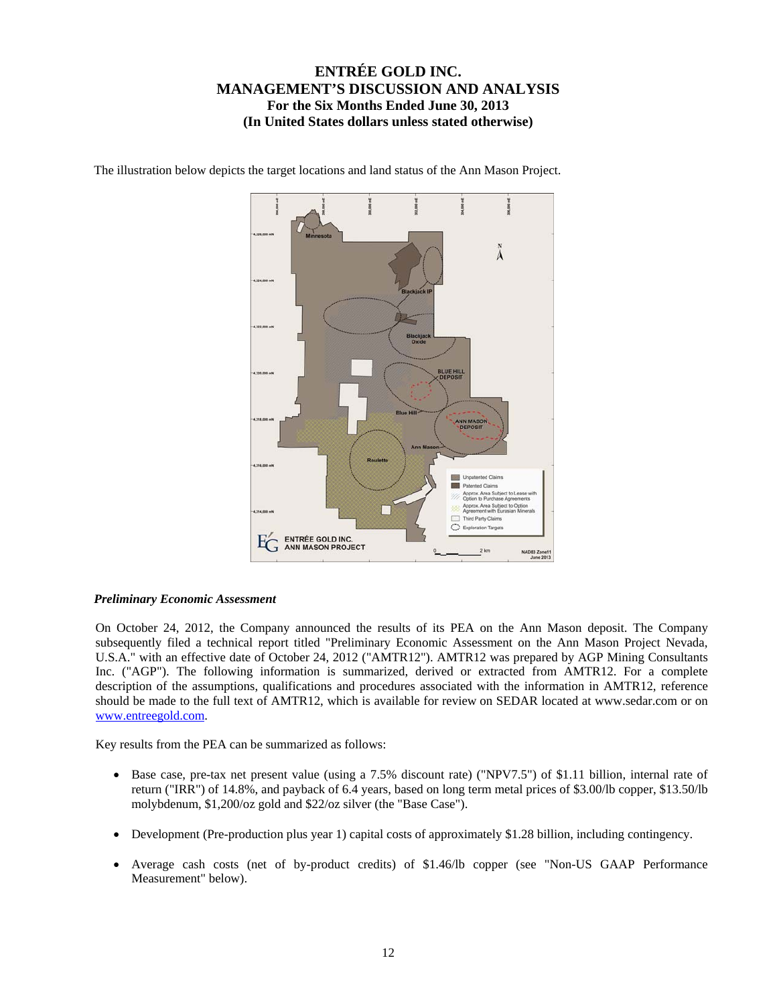

The illustration below depicts the target locations and land status of the Ann Mason Project.

#### *Preliminary Economic Assessment*

On October 24, 2012, the Company announced the results of its PEA on the Ann Mason deposit. The Company subsequently filed a technical report titled "Preliminary Economic Assessment on the Ann Mason Project Nevada, U.S.A." with an effective date of October 24, 2012 ("AMTR12"). AMTR12 was prepared by AGP Mining Consultants Inc. ("AGP"). The following information is summarized, derived or extracted from AMTR12. For a complete description of the assumptions, qualifications and procedures associated with the information in AMTR12, reference should be made to the full text of AMTR12, which is available for review on SEDAR located at www.sedar.com or on www.entreegold.com.

Key results from the PEA can be summarized as follows:

- Base case, pre-tax net present value (using a 7.5% discount rate) ("NPV7.5") of \$1.11 billion, internal rate of return ("IRR") of 14.8%, and payback of 6.4 years, based on long term metal prices of \$3.00/lb copper, \$13.50/lb molybdenum, \$1,200/oz gold and \$22/oz silver (the "Base Case").
- Development (Pre-production plus year 1) capital costs of approximately \$1.28 billion, including contingency.
- Average cash costs (net of by-product credits) of \$1.46/lb copper (see "Non-US GAAP Performance Measurement" below).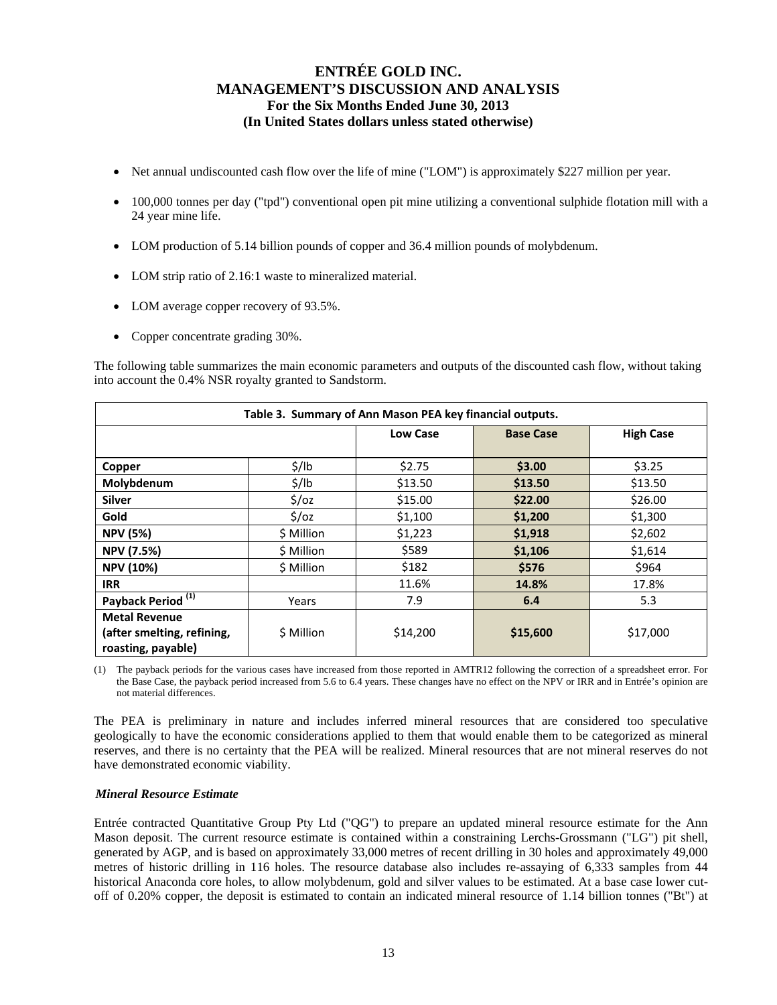- Net annual undiscounted cash flow over the life of mine ("LOM") is approximately \$227 million per year.
- 100,000 tonnes per day ("tpd") conventional open pit mine utilizing a conventional sulphide flotation mill with a 24 year mine life.
- LOM production of 5.14 billion pounds of copper and 36.4 million pounds of molybdenum.
- LOM strip ratio of 2.16:1 waste to mineralized material.
- LOM average copper recovery of 93.5%.
- Copper concentrate grading 30%.

The following table summarizes the main economic parameters and outputs of the discounted cash flow, without taking into account the 0.4% NSR royalty granted to Sandstorm.

| Table 3. Summary of Ann Mason PEA key financial outputs.                 |                   |                 |                  |                  |  |  |  |  |  |  |  |  |
|--------------------------------------------------------------------------|-------------------|-----------------|------------------|------------------|--|--|--|--|--|--|--|--|
|                                                                          |                   | <b>Low Case</b> | <b>Base Case</b> | <b>High Case</b> |  |  |  |  |  |  |  |  |
| Copper                                                                   | $\frac{1}{2}$ /lb | \$2.75          | \$3.00           | \$3.25           |  |  |  |  |  |  |  |  |
| Molybdenum                                                               | $\frac{1}{2}$ /lb | \$13.50         | \$13.50          | \$13.50          |  |  |  |  |  |  |  |  |
| <b>Silver</b>                                                            | $\frac{2}{3}$ /0Z | \$15.00         | \$22.00          | \$26.00          |  |  |  |  |  |  |  |  |
| Gold                                                                     | $\frac{2}{3}$ /0z | \$1,100         | \$1,200          | \$1,300          |  |  |  |  |  |  |  |  |
| <b>NPV (5%)</b>                                                          | \$ Million        | \$1,223         | \$1,918          | \$2,602          |  |  |  |  |  |  |  |  |
| <b>NPV (7.5%)</b>                                                        | \$ Million        | \$589           | \$1,106          | \$1,614          |  |  |  |  |  |  |  |  |
| <b>NPV (10%)</b>                                                         | \$ Million        | \$182           | \$576            | \$964            |  |  |  |  |  |  |  |  |
| <b>IRR</b>                                                               |                   | 11.6%           | 14.8%            | 17.8%            |  |  |  |  |  |  |  |  |
| Payback Period <sup>(1)</sup>                                            | Years             | 7.9             | 6.4              | 5.3              |  |  |  |  |  |  |  |  |
| <b>Metal Revenue</b><br>(after smelting, refining,<br>roasting, payable) | \$ Million        | \$14,200        | \$15,600         | \$17,000         |  |  |  |  |  |  |  |  |

(1) The payback periods for the various cases have increased from those reported in AMTR12 following the correction of a spreadsheet error. For the Base Case, the payback period increased from 5.6 to 6.4 years. These changes have no effect on the NPV or IRR and in Entrée's opinion are not material differences.

The PEA is preliminary in nature and includes inferred mineral resources that are considered too speculative geologically to have the economic considerations applied to them that would enable them to be categorized as mineral reserves, and there is no certainty that the PEA will be realized. Mineral resources that are not mineral reserves do not have demonstrated economic viability.

#### *Mineral Resource Estimate*

Entrée contracted Quantitative Group Pty Ltd ("QG") to prepare an updated mineral resource estimate for the Ann Mason deposit. The current resource estimate is contained within a constraining Lerchs-Grossmann ("LG") pit shell, generated by AGP, and is based on approximately 33,000 metres of recent drilling in 30 holes and approximately 49,000 metres of historic drilling in 116 holes. The resource database also includes re-assaying of 6,333 samples from 44 historical Anaconda core holes, to allow molybdenum, gold and silver values to be estimated. At a base case lower cutoff of 0.20% copper, the deposit is estimated to contain an indicated mineral resource of 1.14 billion tonnes ("Bt") at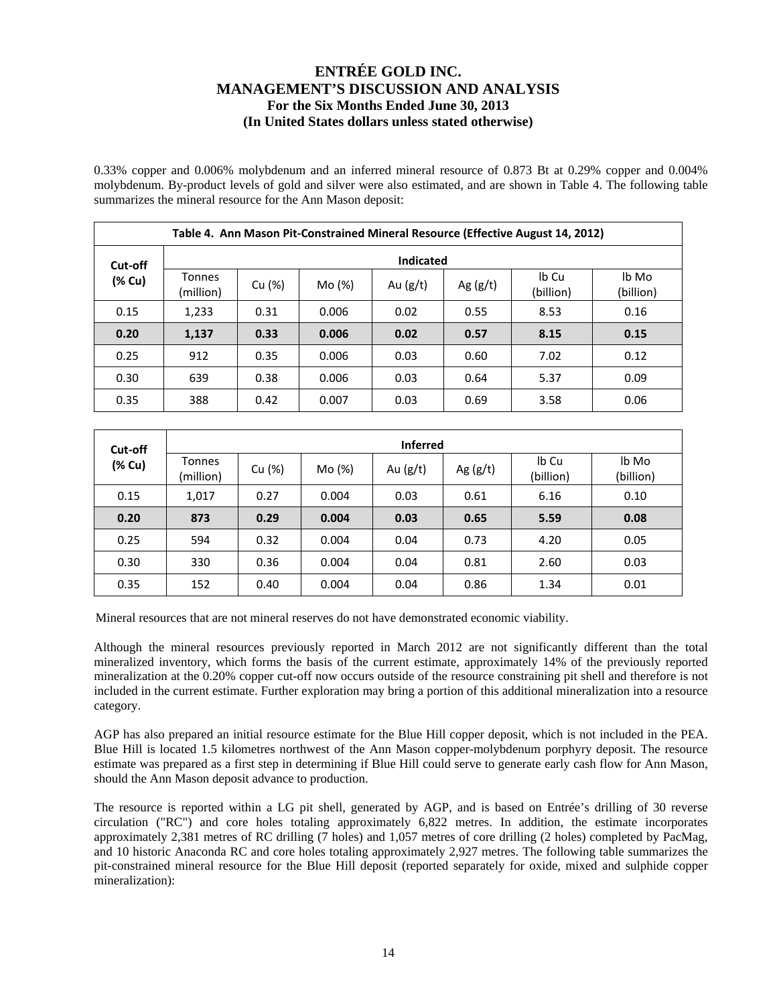0.33% copper and 0.006% molybdenum and an inferred mineral resource of 0.873 Bt at 0.29% copper and 0.004% molybdenum. By-product levels of gold and silver were also estimated, and are shown in Table 4. The following table summarizes the mineral resource for the Ann Mason deposit:

|        | Table 4. Ann Mason Pit-Constrained Mineral Resource (Effective August 14, 2012) |        |        |            |            |                    |                    |  |  |  |  |  |  |
|--------|---------------------------------------------------------------------------------|--------|--------|------------|------------|--------------------|--------------------|--|--|--|--|--|--|
|        | <b>Indicated</b><br>Cut-off                                                     |        |        |            |            |                    |                    |  |  |  |  |  |  |
| (% Cu) | Tonnes<br>(million)                                                             | Cu (%) | Mo (%) | Au $(g/t)$ | Ag $(g/t)$ | Ib Cu<br>(billion) | lb Mo<br>(billion) |  |  |  |  |  |  |
| 0.15   | 1,233                                                                           | 0.31   | 0.006  | 0.02       | 8.53       | 0.16               |                    |  |  |  |  |  |  |
| 0.20   | 1,137                                                                           | 0.33   | 0.006  | 0.02       | 0.57       | 8.15               | 0.15               |  |  |  |  |  |  |
| 0.25   | 912                                                                             | 0.35   | 0.006  | 0.03       | 0.60       | 7.02               | 0.12               |  |  |  |  |  |  |
| 0.30   | 639                                                                             | 0.38   | 0.006  | 0.03       | 0.64       | 5.37               | 0.09               |  |  |  |  |  |  |
| 0.35   | 388                                                                             | 0.42   | 0.007  | 0.03       | 0.69       | 3.58               | 0.06               |  |  |  |  |  |  |

| Cut-off | <b>Inferred</b>     |        |        |            |            |                    |                    |  |  |  |  |  |  |
|---------|---------------------|--------|--------|------------|------------|--------------------|--------------------|--|--|--|--|--|--|
| (% Cu)  | Tonnes<br>(million) | Cu (%) | Mo (%) | Au $(g/t)$ | Ag $(g/t)$ | Ib Cu<br>(billion) | lb Mo<br>(billion) |  |  |  |  |  |  |
| 0.15    | 1,017               | 0.27   | 0.004  | 0.03       | 0.61       | 6.16               | 0.10               |  |  |  |  |  |  |
| 0.20    | 873                 | 0.29   | 0.004  | 0.03       | 0.65       | 5.59               | 0.08               |  |  |  |  |  |  |
| 0.25    | 594                 | 0.32   | 0.004  | 0.04       | 0.73       | 4.20               | 0.05               |  |  |  |  |  |  |
| 0.30    | 330                 | 0.36   | 0.004  | 0.04       | 0.81       | 2.60               | 0.03               |  |  |  |  |  |  |
| 0.35    | 152                 | 0.40   | 0.004  | 0.04       | 0.86       | 1.34               | 0.01               |  |  |  |  |  |  |

Mineral resources that are not mineral reserves do not have demonstrated economic viability.

Although the mineral resources previously reported in March 2012 are not significantly different than the total mineralized inventory, which forms the basis of the current estimate, approximately 14% of the previously reported mineralization at the 0.20% copper cut-off now occurs outside of the resource constraining pit shell and therefore is not included in the current estimate. Further exploration may bring a portion of this additional mineralization into a resource category.

AGP has also prepared an initial resource estimate for the Blue Hill copper deposit, which is not included in the PEA. Blue Hill is located 1.5 kilometres northwest of the Ann Mason copper-molybdenum porphyry deposit. The resource estimate was prepared as a first step in determining if Blue Hill could serve to generate early cash flow for Ann Mason, should the Ann Mason deposit advance to production.

The resource is reported within a LG pit shell, generated by AGP, and is based on Entrée's drilling of 30 reverse circulation ("RC") and core holes totaling approximately 6,822 metres. In addition, the estimate incorporates approximately 2,381 metres of RC drilling (7 holes) and 1,057 metres of core drilling (2 holes) completed by PacMag, and 10 historic Anaconda RC and core holes totaling approximately 2,927 metres. The following table summarizes the pit-constrained mineral resource for the Blue Hill deposit (reported separately for oxide, mixed and sulphide copper mineralization):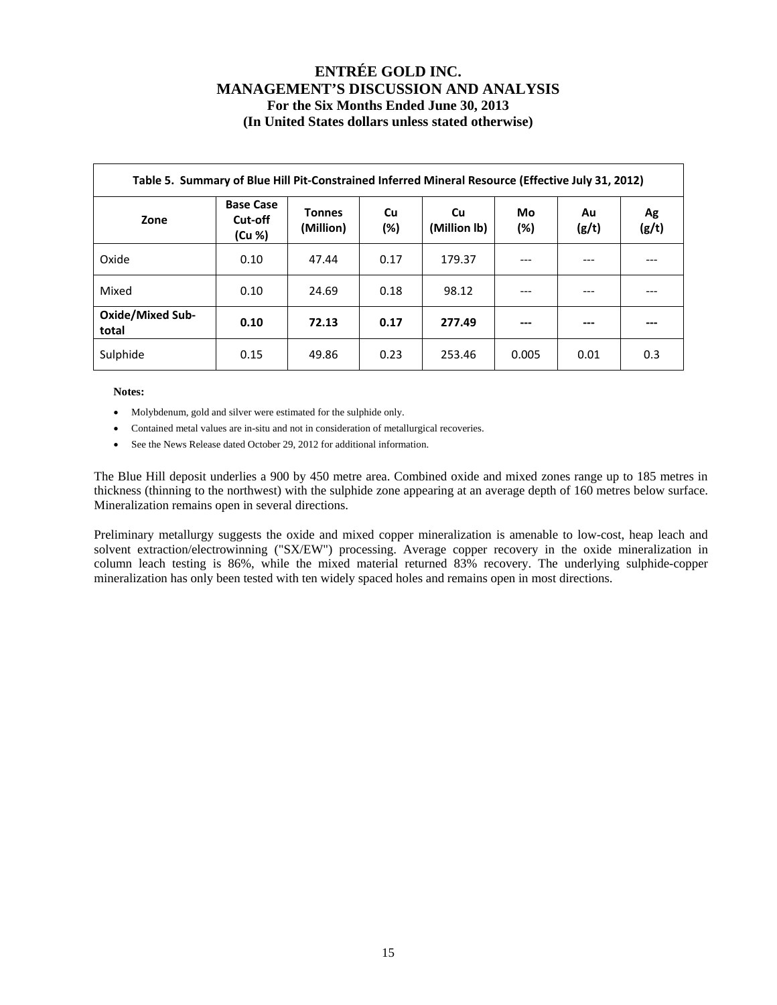| Table 5. Summary of Blue Hill Pit-Constrained Inferred Mineral Resource (Effective July 31, 2012) |                                       |                            |              |                    |              |             |             |  |  |  |  |  |  |
|---------------------------------------------------------------------------------------------------|---------------------------------------|----------------------------|--------------|--------------------|--------------|-------------|-------------|--|--|--|--|--|--|
| Zone                                                                                              | <b>Base Case</b><br>Cut-off<br>(Cu %) | <b>Tonnes</b><br>(Million) | Cu<br>$(\%)$ | Cu<br>(Million lb) | Mo<br>$(\%)$ | Au<br>(g/t) | Ag<br>(g/t) |  |  |  |  |  |  |
| Oxide                                                                                             | 0.10                                  | 47.44                      | 0.17         | 179.37             |              |             |             |  |  |  |  |  |  |
| Mixed                                                                                             | 0.10                                  | 24.69                      | 0.18         | 98.12              | ---          |             |             |  |  |  |  |  |  |
| <b>Oxide/Mixed Sub-</b><br>total                                                                  | 0.10                                  | 72.13                      | 0.17         | 277.49             | ---          | ---         | ---         |  |  |  |  |  |  |
| Sulphide                                                                                          | 0.15                                  | 49.86                      | 0.23         | 253.46             | 0.005        | 0.01        | 0.3         |  |  |  |  |  |  |

**Notes:** 

- Molybdenum, gold and silver were estimated for the sulphide only.
- Contained metal values are in-situ and not in consideration of metallurgical recoveries.
- See the News Release dated October 29, 2012 for additional information.

The Blue Hill deposit underlies a 900 by 450 metre area. Combined oxide and mixed zones range up to 185 metres in thickness (thinning to the northwest) with the sulphide zone appearing at an average depth of 160 metres below surface. Mineralization remains open in several directions.

Preliminary metallurgy suggests the oxide and mixed copper mineralization is amenable to low-cost, heap leach and solvent extraction/electrowinning ("SX/EW") processing. Average copper recovery in the oxide mineralization in column leach testing is 86%, while the mixed material returned 83% recovery. The underlying sulphide-copper mineralization has only been tested with ten widely spaced holes and remains open in most directions.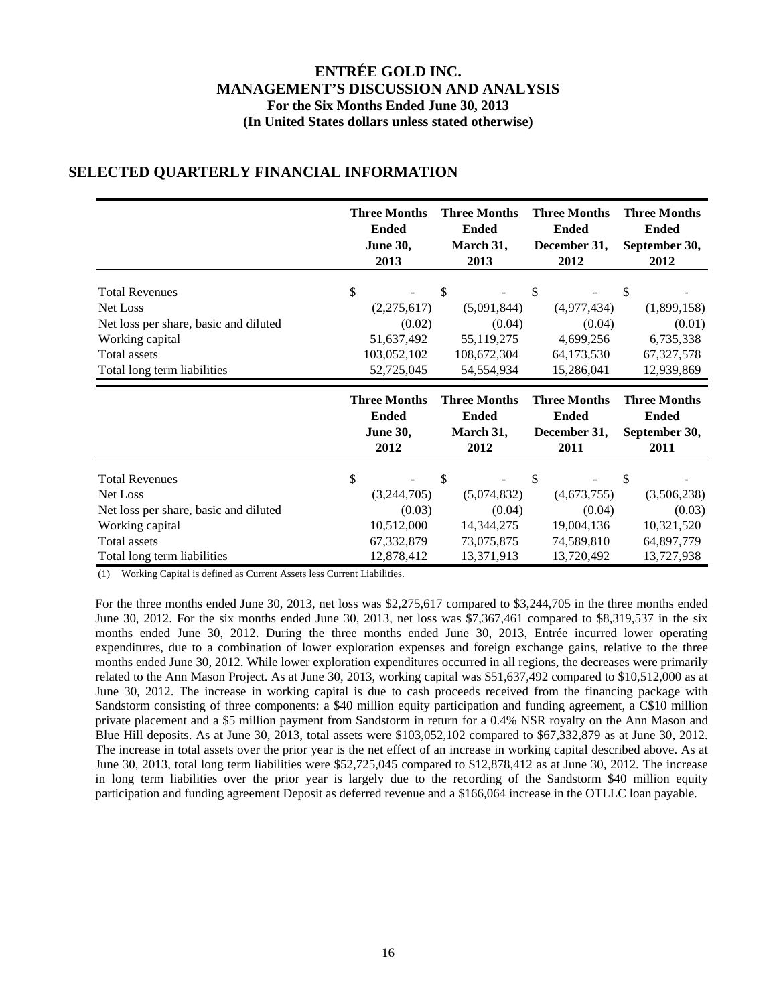|                                        | <b>Three Months</b><br><b>Ended</b><br><b>June 30,</b><br>2013 | <b>Three Months</b><br><b>Ended</b><br>March 31,<br>2013 | <b>Three Months</b><br><b>Ended</b><br>December 31,<br>2012 | <b>Three Months</b><br><b>Ended</b><br>September 30,<br>2012 |
|----------------------------------------|----------------------------------------------------------------|----------------------------------------------------------|-------------------------------------------------------------|--------------------------------------------------------------|
|                                        |                                                                |                                                          |                                                             |                                                              |
| <b>Total Revenues</b>                  | \$                                                             | \$                                                       | \$                                                          | \$                                                           |
| Net Loss                               | (2,275,617)                                                    | (5,091,844)                                              | (4,977,434)                                                 | (1,899,158)                                                  |
| Net loss per share, basic and diluted  | (0.02)                                                         | (0.04)                                                   | (0.04)                                                      | (0.01)                                                       |
| Working capital                        | 51,637,492                                                     | 55,119,275                                               | 4,699,256                                                   | 6,735,338                                                    |
| Total assets                           | 103,052,102                                                    | 108,672,304                                              | 64,173,530                                                  | 67, 327, 578                                                 |
| Total long term liabilities            | 52,725,045                                                     | 54,554,934                                               | 15,286,041                                                  | 12,939,869                                                   |
|                                        |                                                                |                                                          |                                                             |                                                              |
|                                        | <b>Three Months</b><br><b>Ended</b><br><b>June 30,</b><br>2012 | <b>Three Months</b><br><b>Ended</b><br>March 31,<br>2012 | <b>Three Months</b><br><b>Ended</b><br>December 31,<br>2011 | <b>Three Months</b><br><b>Ended</b><br>September 30,<br>2011 |
| <b>Total Revenues</b>                  | \$                                                             | \$                                                       | \$                                                          | \$                                                           |
| Net Loss                               | (3,244,705)                                                    | (5,074,832)                                              | (4,673,755)                                                 | (3,506,238)                                                  |
| Net loss per share, basic and diluted  | (0.03)                                                         | (0.04)                                                   | (0.04)                                                      | (0.03)                                                       |
|                                        |                                                                | 14,344,275                                               |                                                             |                                                              |
| Working capital<br><b>Total assets</b> | 10,512,000<br>67, 332, 879                                     | 73,075,875                                               | 19,004,136<br>74,589,810                                    | 10,321,520<br>64,897,779                                     |

### **SELECTED QUARTERLY FINANCIAL INFORMATION**

(1) Working Capital is defined as Current Assets less Current Liabilities.

For the three months ended June 30, 2013, net loss was \$2,275,617 compared to \$3,244,705 in the three months ended June 30, 2012. For the six months ended June 30, 2013, net loss was \$7,367,461 compared to \$8,319,537 in the six months ended June 30, 2012. During the three months ended June 30, 2013, Entrée incurred lower operating expenditures, due to a combination of lower exploration expenses and foreign exchange gains, relative to the three months ended June 30, 2012. While lower exploration expenditures occurred in all regions, the decreases were primarily related to the Ann Mason Project. As at June 30, 2013, working capital was \$51,637,492 compared to \$10,512,000 as at June 30, 2012. The increase in working capital is due to cash proceeds received from the financing package with Sandstorm consisting of three components: a \$40 million equity participation and funding agreement, a C\$10 million private placement and a \$5 million payment from Sandstorm in return for a 0.4% NSR royalty on the Ann Mason and Blue Hill deposits. As at June 30, 2013, total assets were \$103,052,102 compared to \$67,332,879 as at June 30, 2012. The increase in total assets over the prior year is the net effect of an increase in working capital described above. As at June 30, 2013, total long term liabilities were \$52,725,045 compared to \$12,878,412 as at June 30, 2012. The increase in long term liabilities over the prior year is largely due to the recording of the Sandstorm \$40 million equity participation and funding agreement Deposit as deferred revenue and a \$166,064 increase in the OTLLC loan payable.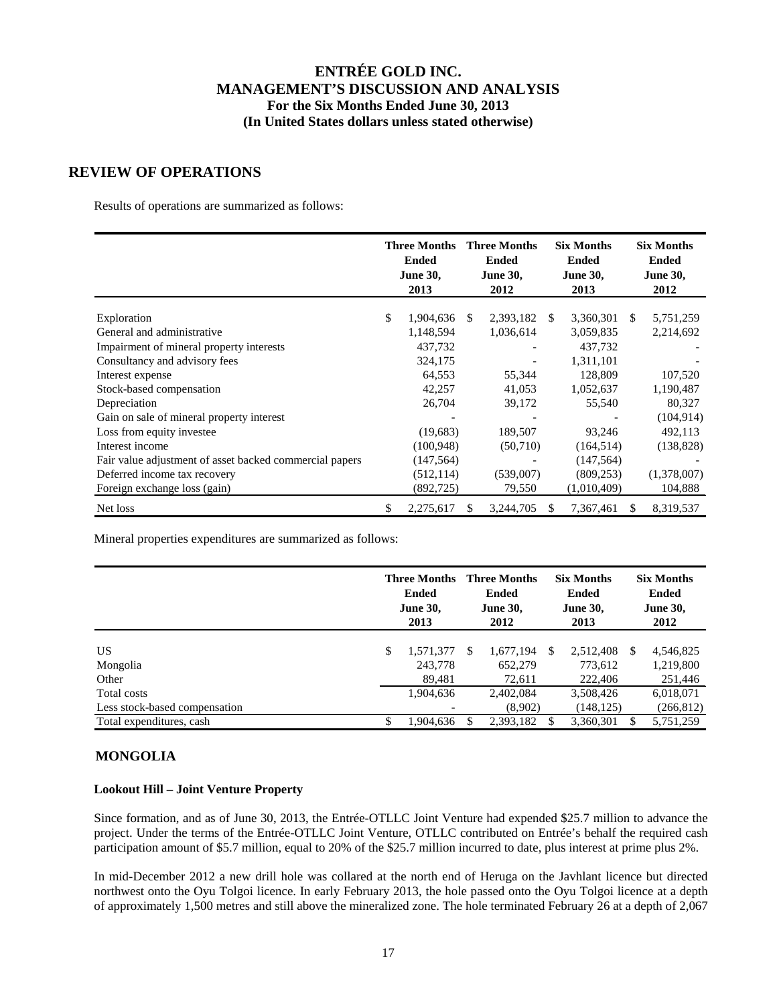## **REVIEW OF OPERATIONS**

Results of operations are summarized as follows:

|                                                         | <b>Three Months</b><br><b>Ended</b><br><b>June 30,</b><br>2013 |    | <b>Three Months</b><br><b>Ended</b><br><b>June 30,</b><br>2012 |      | <b>Six Months</b><br><b>Ended</b><br><b>June 30,</b><br>2013 |               | <b>Six Months</b><br><b>Ended</b><br><b>June 30,</b><br>2012 |
|---------------------------------------------------------|----------------------------------------------------------------|----|----------------------------------------------------------------|------|--------------------------------------------------------------|---------------|--------------------------------------------------------------|
| Exploration                                             | \$<br>1,904,636                                                | -S | 2,393,182                                                      | - \$ | 3,360,301                                                    | <sup>\$</sup> | 5,751,259                                                    |
| General and administrative                              | 1,148,594                                                      |    | 1,036,614                                                      |      | 3,059,835                                                    |               | 2,214,692                                                    |
| Impairment of mineral property interests                | 437,732                                                        |    |                                                                |      | 437,732                                                      |               |                                                              |
| Consultancy and advisory fees                           | 324,175                                                        |    |                                                                |      | 1,311,101                                                    |               |                                                              |
| Interest expense                                        | 64,553                                                         |    | 55,344                                                         |      | 128,809                                                      |               | 107,520                                                      |
| Stock-based compensation                                | 42,257                                                         |    | 41,053                                                         |      | 1,052,637                                                    |               | 1,190,487                                                    |
| Depreciation                                            | 26,704                                                         |    | 39,172                                                         |      | 55,540                                                       |               | 80,327                                                       |
| Gain on sale of mineral property interest               |                                                                |    |                                                                |      |                                                              |               | (104, 914)                                                   |
| Loss from equity investee                               | (19,683)                                                       |    | 189,507                                                        |      | 93,246                                                       |               | 492,113                                                      |
| Interest income                                         | (100, 948)                                                     |    | (50,710)                                                       |      | (164, 514)                                                   |               | (138, 828)                                                   |
| Fair value adjustment of asset backed commercial papers | (147, 564)                                                     |    |                                                                |      | (147, 564)                                                   |               |                                                              |
| Deferred income tax recovery                            | (512, 114)                                                     |    | (539,007)                                                      |      | (809, 253)                                                   |               | (1,378,007)                                                  |
| Foreign exchange loss (gain)                            | (892, 725)                                                     |    | 79,550                                                         |      | (1,010,409)                                                  |               | 104,888                                                      |
| Net loss                                                | \$<br>2,275,617                                                | S. | 3,244,705                                                      | S    | 7,367,461                                                    | S.            | 8,319,537                                                    |

Mineral properties expenditures are summarized as follows:

|                               | Three Months<br><b>Ended</b><br><b>June 30,</b><br>2013 |     | <b>Three Months</b><br><b>Ended</b><br><b>June 30,</b><br>2012 |     | <b>Six Months</b><br><b>Ended</b><br><b>June 30,</b><br>2013 |   | <b>Six Months</b><br>Ended<br><b>June 30,</b><br>2012 |
|-------------------------------|---------------------------------------------------------|-----|----------------------------------------------------------------|-----|--------------------------------------------------------------|---|-------------------------------------------------------|
| US                            | \$<br>1,571,377                                         | \$. | 1,677,194                                                      | \$. | 2,512,408                                                    | S | 4,546,825                                             |
| Mongolia                      | 243,778                                                 |     | 652,279                                                        |     | 773,612                                                      |   | 1,219,800                                             |
| Other                         | 89,481                                                  |     | 72,611                                                         |     | 222,406                                                      |   | 251,446                                               |
| Total costs                   | 1.904.636                                               |     | 2,402,084                                                      |     | 3,508,426                                                    |   | 6,018,071                                             |
| Less stock-based compensation |                                                         |     | (8,902)                                                        |     | (148, 125)                                                   |   | (266, 812)                                            |
| Total expenditures, cash      | \$<br>1,904,636                                         |     | 2.393.182                                                      | \$. | 3,360,301                                                    |   | 5,751,259                                             |

#### **MONGOLIA**

#### **Lookout Hill – Joint Venture Property**

Since formation, and as of June 30, 2013, the Entrée-OTLLC Joint Venture had expended \$25.7 million to advance the project. Under the terms of the Entrée-OTLLC Joint Venture, OTLLC contributed on Entrée's behalf the required cash participation amount of \$5.7 million, equal to 20% of the \$25.7 million incurred to date, plus interest at prime plus 2%.

In mid-December 2012 a new drill hole was collared at the north end of Heruga on the Javhlant licence but directed northwest onto the Oyu Tolgoi licence. In early February 2013, the hole passed onto the Oyu Tolgoi licence at a depth of approximately 1,500 metres and still above the mineralized zone. The hole terminated February 26 at a depth of 2,067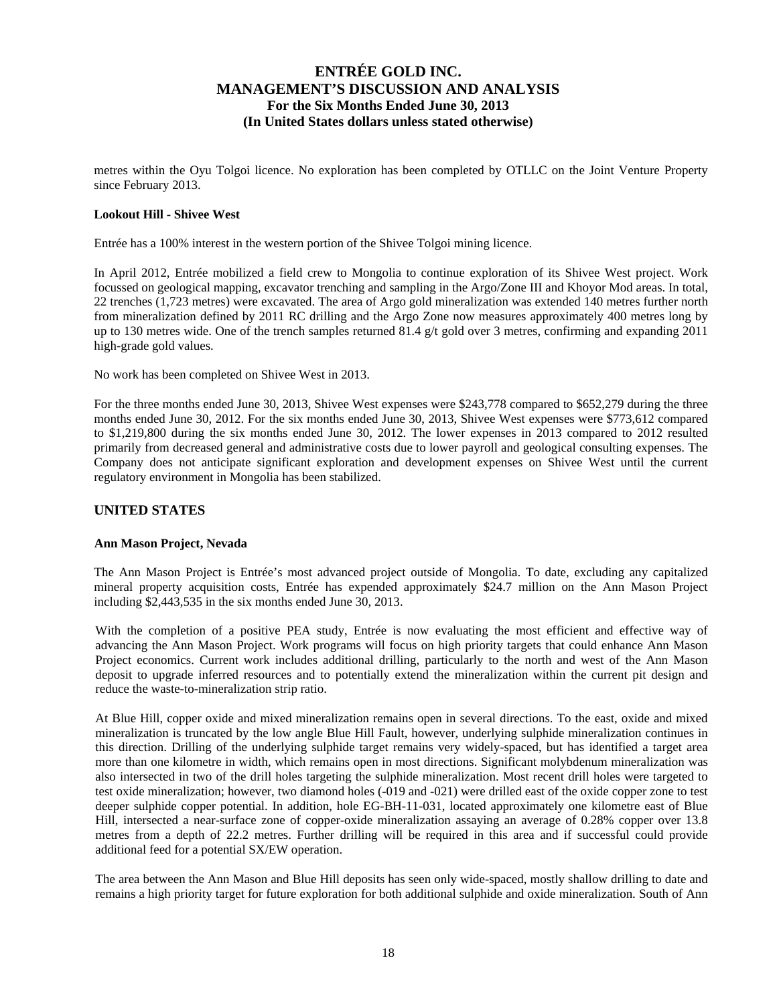metres within the Oyu Tolgoi licence. No exploration has been completed by OTLLC on the Joint Venture Property since February 2013.

#### **Lookout Hill - Shivee West**

Entrée has a 100% interest in the western portion of the Shivee Tolgoi mining licence.

In April 2012, Entrée mobilized a field crew to Mongolia to continue exploration of its Shivee West project. Work focussed on geological mapping, excavator trenching and sampling in the Argo/Zone III and Khoyor Mod areas. In total, 22 trenches (1,723 metres) were excavated. The area of Argo gold mineralization was extended 140 metres further north from mineralization defined by 2011 RC drilling and the Argo Zone now measures approximately 400 metres long by up to 130 metres wide. One of the trench samples returned 81.4  $g/t$  gold over 3 metres, confirming and expanding 2011 high-grade gold values.

No work has been completed on Shivee West in 2013.

For the three months ended June 30, 2013, Shivee West expenses were \$243,778 compared to \$652,279 during the three months ended June 30, 2012. For the six months ended June 30, 2013, Shivee West expenses were \$773,612 compared to \$1,219,800 during the six months ended June 30, 2012. The lower expenses in 2013 compared to 2012 resulted primarily from decreased general and administrative costs due to lower payroll and geological consulting expenses. The Company does not anticipate significant exploration and development expenses on Shivee West until the current regulatory environment in Mongolia has been stabilized.

#### **UNITED STATES**

#### **Ann Mason Project, Nevada**

The Ann Mason Project is Entrée's most advanced project outside of Mongolia. To date, excluding any capitalized mineral property acquisition costs, Entrée has expended approximately \$24.7 million on the Ann Mason Project including \$2,443,535 in the six months ended June 30, 2013.

With the completion of a positive PEA study, Entrée is now evaluating the most efficient and effective way of advancing the Ann Mason Project. Work programs will focus on high priority targets that could enhance Ann Mason Project economics. Current work includes additional drilling, particularly to the north and west of the Ann Mason deposit to upgrade inferred resources and to potentially extend the mineralization within the current pit design and reduce the waste-to-mineralization strip ratio.

At Blue Hill, copper oxide and mixed mineralization remains open in several directions. To the east, oxide and mixed mineralization is truncated by the low angle Blue Hill Fault, however, underlying sulphide mineralization continues in this direction. Drilling of the underlying sulphide target remains very widely-spaced, but has identified a target area more than one kilometre in width, which remains open in most directions. Significant molybdenum mineralization was also intersected in two of the drill holes targeting the sulphide mineralization. Most recent drill holes were targeted to test oxide mineralization; however, two diamond holes (-019 and -021) were drilled east of the oxide copper zone to test deeper sulphide copper potential. In addition, hole EG-BH-11-031, located approximately one kilometre east of Blue Hill, intersected a near-surface zone of copper-oxide mineralization assaying an average of 0.28% copper over 13.8 metres from a depth of 22.2 metres. Further drilling will be required in this area and if successful could provide additional feed for a potential SX/EW operation.

The area between the Ann Mason and Blue Hill deposits has seen only wide-spaced, mostly shallow drilling to date and remains a high priority target for future exploration for both additional sulphide and oxide mineralization. South of Ann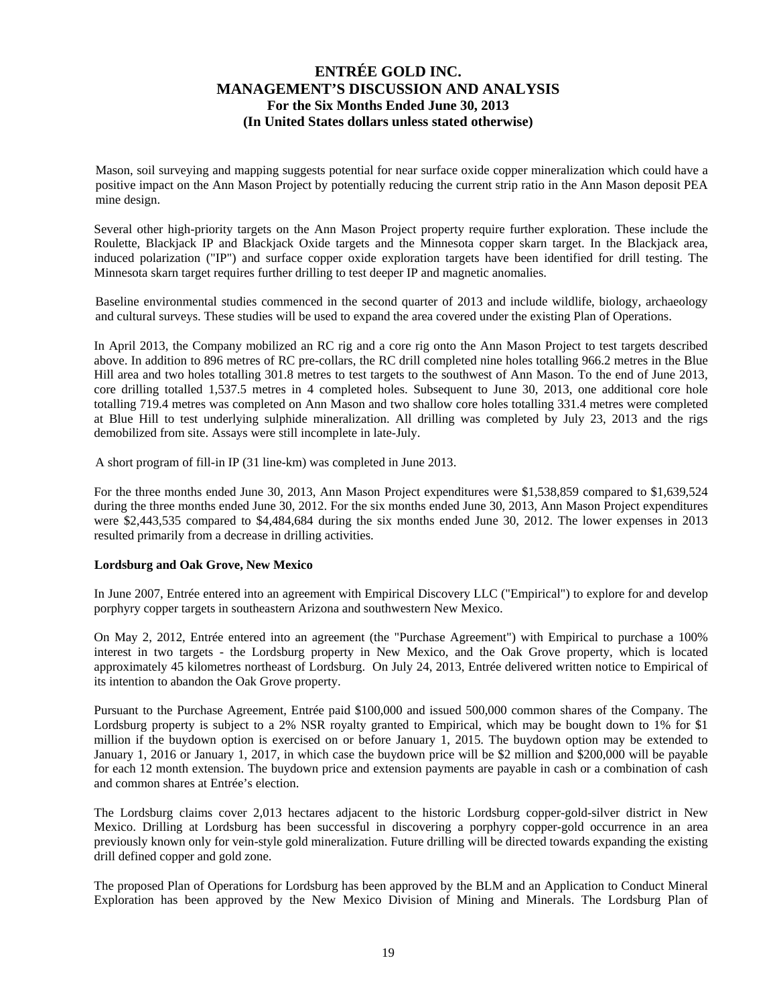Mason, soil surveying and mapping suggests potential for near surface oxide copper mineralization which could have a positive impact on the Ann Mason Project by potentially reducing the current strip ratio in the Ann Mason deposit PEA mine design.

Several other high-priority targets on the Ann Mason Project property require further exploration. These include the Roulette, Blackjack IP and Blackjack Oxide targets and the Minnesota copper skarn target. In the Blackjack area, induced polarization ("IP") and surface copper oxide exploration targets have been identified for drill testing. The Minnesota skarn target requires further drilling to test deeper IP and magnetic anomalies.

Baseline environmental studies commenced in the second quarter of 2013 and include wildlife, biology, archaeology and cultural surveys. These studies will be used to expand the area covered under the existing Plan of Operations.

In April 2013, the Company mobilized an RC rig and a core rig onto the Ann Mason Project to test targets described above. In addition to 896 metres of RC pre-collars, the RC drill completed nine holes totalling 966.2 metres in the Blue Hill area and two holes totalling 301.8 metres to test targets to the southwest of Ann Mason. To the end of June 2013, core drilling totalled 1,537.5 metres in 4 completed holes. Subsequent to June 30, 2013, one additional core hole totalling 719.4 metres was completed on Ann Mason and two shallow core holes totalling 331.4 metres were completed at Blue Hill to test underlying sulphide mineralization. All drilling was completed by July 23, 2013 and the rigs demobilized from site. Assays were still incomplete in late-July.

A short program of fill-in IP (31 line-km) was completed in June 2013.

For the three months ended June 30, 2013, Ann Mason Project expenditures were \$1,538,859 compared to \$1,639,524 during the three months ended June 30, 2012. For the six months ended June 30, 2013, Ann Mason Project expenditures were \$2,443,535 compared to \$4,484,684 during the six months ended June 30, 2012. The lower expenses in 2013 resulted primarily from a decrease in drilling activities.

#### **Lordsburg and Oak Grove, New Mexico**

In June 2007, Entrée entered into an agreement with Empirical Discovery LLC ("Empirical") to explore for and develop porphyry copper targets in southeastern Arizona and southwestern New Mexico.

On May 2, 2012, Entrée entered into an agreement (the "Purchase Agreement") with Empirical to purchase a 100% interest in two targets - the Lordsburg property in New Mexico, and the Oak Grove property, which is located approximately 45 kilometres northeast of Lordsburg. On July 24, 2013, Entrée delivered written notice to Empirical of its intention to abandon the Oak Grove property.

Pursuant to the Purchase Agreement, Entrée paid \$100,000 and issued 500,000 common shares of the Company. The Lordsburg property is subject to a 2% NSR royalty granted to Empirical, which may be bought down to 1% for \$1 million if the buydown option is exercised on or before January 1, 2015. The buydown option may be extended to January 1, 2016 or January 1, 2017, in which case the buydown price will be \$2 million and \$200,000 will be payable for each 12 month extension. The buydown price and extension payments are payable in cash or a combination of cash and common shares at Entrée's election.

The Lordsburg claims cover 2,013 hectares adjacent to the historic Lordsburg copper-gold-silver district in New Mexico. Drilling at Lordsburg has been successful in discovering a porphyry copper-gold occurrence in an area previously known only for vein-style gold mineralization. Future drilling will be directed towards expanding the existing drill defined copper and gold zone.

The proposed Plan of Operations for Lordsburg has been approved by the BLM and an Application to Conduct Mineral Exploration has been approved by the New Mexico Division of Mining and Minerals. The Lordsburg Plan of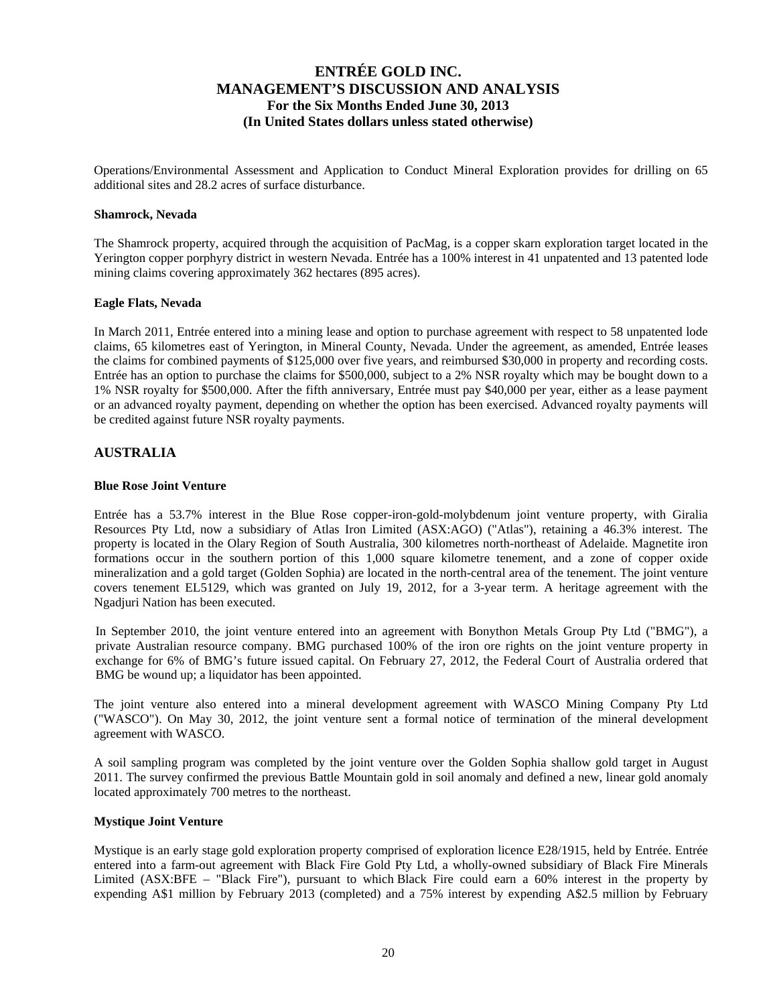Operations/Environmental Assessment and Application to Conduct Mineral Exploration provides for drilling on 65 additional sites and 28.2 acres of surface disturbance.

#### **Shamrock, Nevada**

The Shamrock property, acquired through the acquisition of PacMag, is a copper skarn exploration target located in the Yerington copper porphyry district in western Nevada. Entrée has a 100% interest in 41 unpatented and 13 patented lode mining claims covering approximately 362 hectares (895 acres).

#### **Eagle Flats, Nevada**

In March 2011, Entrée entered into a mining lease and option to purchase agreement with respect to 58 unpatented lode claims, 65 kilometres east of Yerington, in Mineral County, Nevada. Under the agreement, as amended, Entrée leases the claims for combined payments of \$125,000 over five years, and reimbursed \$30,000 in property and recording costs. Entrée has an option to purchase the claims for \$500,000, subject to a 2% NSR royalty which may be bought down to a 1% NSR royalty for \$500,000. After the fifth anniversary, Entrée must pay \$40,000 per year, either as a lease payment or an advanced royalty payment, depending on whether the option has been exercised. Advanced royalty payments will be credited against future NSR royalty payments.

#### **AUSTRALIA**

#### **Blue Rose Joint Venture**

Entrée has a 53.7% interest in the Blue Rose copper-iron-gold-molybdenum joint venture property, with Giralia Resources Pty Ltd, now a subsidiary of Atlas Iron Limited (ASX:AGO) ("Atlas"), retaining a 46.3% interest. The property is located in the Olary Region of South Australia, 300 kilometres north-northeast of Adelaide. Magnetite iron formations occur in the southern portion of this 1,000 square kilometre tenement, and a zone of copper oxide mineralization and a gold target (Golden Sophia) are located in the north-central area of the tenement. The joint venture covers tenement EL5129, which was granted on July 19, 2012, for a 3-year term. A heritage agreement with the Ngadjuri Nation has been executed.

In September 2010, the joint venture entered into an agreement with Bonython Metals Group Pty Ltd ("BMG"), a private Australian resource company. BMG purchased 100% of the iron ore rights on the joint venture property in exchange for 6% of BMG's future issued capital. On February 27, 2012, the Federal Court of Australia ordered that BMG be wound up; a liquidator has been appointed.

The joint venture also entered into a mineral development agreement with WASCO Mining Company Pty Ltd ("WASCO"). On May 30, 2012, the joint venture sent a formal notice of termination of the mineral development agreement with WASCO.

A soil sampling program was completed by the joint venture over the Golden Sophia shallow gold target in August 2011. The survey confirmed the previous Battle Mountain gold in soil anomaly and defined a new, linear gold anomaly located approximately 700 metres to the northeast.

#### **Mystique Joint Venture**

Mystique is an early stage gold exploration property comprised of exploration licence E28/1915, held by Entrée. Entrée entered into a farm-out agreement with Black Fire Gold Pty Ltd, a wholly-owned subsidiary of Black Fire Minerals Limited (ASX:BFE – "Black Fire"), pursuant to which Black Fire could earn a 60% interest in the property by expending A\$1 million by February 2013 (completed) and a 75% interest by expending A\$2.5 million by February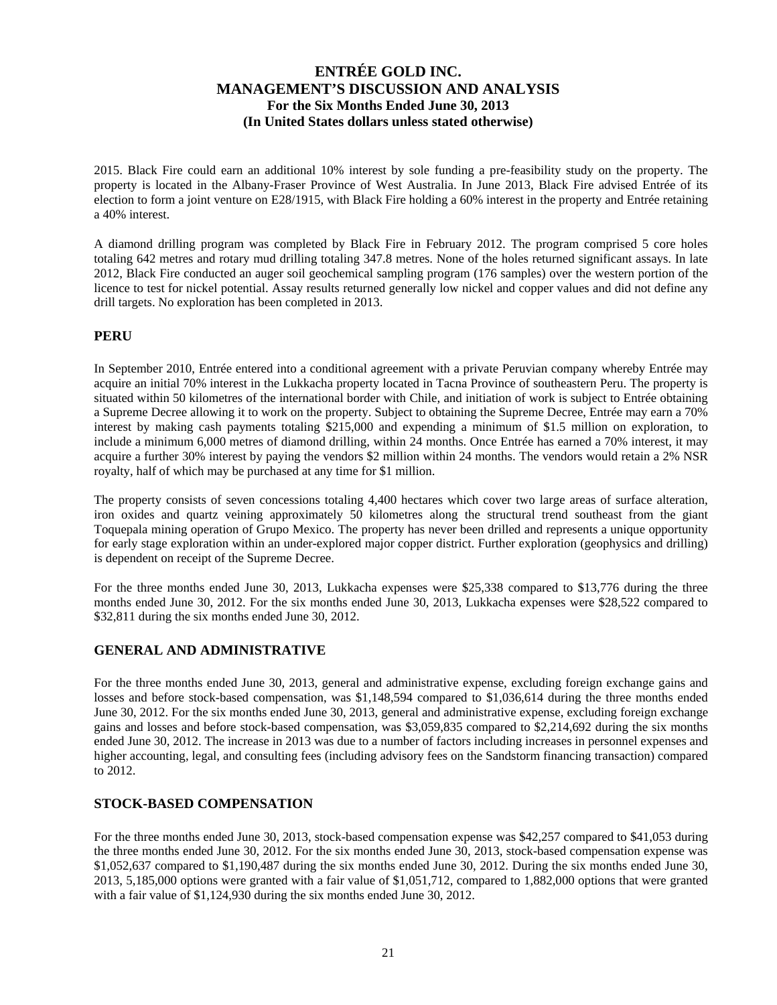2015. Black Fire could earn an additional 10% interest by sole funding a pre-feasibility study on the property. The property is located in the Albany-Fraser Province of West Australia. In June 2013, Black Fire advised Entrée of its election to form a joint venture on E28/1915, with Black Fire holding a 60% interest in the property and Entrée retaining a 40% interest.

A diamond drilling program was completed by Black Fire in February 2012. The program comprised 5 core holes totaling 642 metres and rotary mud drilling totaling 347.8 metres. None of the holes returned significant assays. In late 2012, Black Fire conducted an auger soil geochemical sampling program (176 samples) over the western portion of the licence to test for nickel potential. Assay results returned generally low nickel and copper values and did not define any drill targets. No exploration has been completed in 2013.

#### **PERU**

In September 2010, Entrée entered into a conditional agreement with a private Peruvian company whereby Entrée may acquire an initial 70% interest in the Lukkacha property located in Tacna Province of southeastern Peru. The property is situated within 50 kilometres of the international border with Chile, and initiation of work is subject to Entrée obtaining a Supreme Decree allowing it to work on the property. Subject to obtaining the Supreme Decree, Entrée may earn a 70% interest by making cash payments totaling \$215,000 and expending a minimum of \$1.5 million on exploration, to include a minimum 6,000 metres of diamond drilling, within 24 months. Once Entrée has earned a 70% interest, it may acquire a further 30% interest by paying the vendors \$2 million within 24 months. The vendors would retain a 2% NSR royalty, half of which may be purchased at any time for \$1 million.

The property consists of seven concessions totaling 4,400 hectares which cover two large areas of surface alteration, iron oxides and quartz veining approximately 50 kilometres along the structural trend southeast from the giant Toquepala mining operation of Grupo Mexico. The property has never been drilled and represents a unique opportunity for early stage exploration within an under-explored major copper district. Further exploration (geophysics and drilling) is dependent on receipt of the Supreme Decree.

For the three months ended June 30, 2013, Lukkacha expenses were \$25,338 compared to \$13,776 during the three months ended June 30, 2012. For the six months ended June 30, 2013, Lukkacha expenses were \$28,522 compared to \$32,811 during the six months ended June 30, 2012.

#### **GENERAL AND ADMINISTRATIVE**

For the three months ended June 30, 2013, general and administrative expense, excluding foreign exchange gains and losses and before stock-based compensation, was \$1,148,594 compared to \$1,036,614 during the three months ended June 30, 2012. For the six months ended June 30, 2013, general and administrative expense, excluding foreign exchange gains and losses and before stock-based compensation, was \$3,059,835 compared to \$2,214,692 during the six months ended June 30, 2012. The increase in 2013 was due to a number of factors including increases in personnel expenses and higher accounting, legal, and consulting fees (including advisory fees on the Sandstorm financing transaction) compared to 2012.

### **STOCK-BASED COMPENSATION**

For the three months ended June 30, 2013, stock-based compensation expense was \$42,257 compared to \$41,053 during the three months ended June 30, 2012. For the six months ended June 30, 2013, stock-based compensation expense was \$1,052,637 compared to \$1,190,487 during the six months ended June 30, 2012. During the six months ended June 30, 2013, 5,185,000 options were granted with a fair value of \$1,051,712, compared to 1,882,000 options that were granted with a fair value of \$1,124,930 during the six months ended June 30, 2012.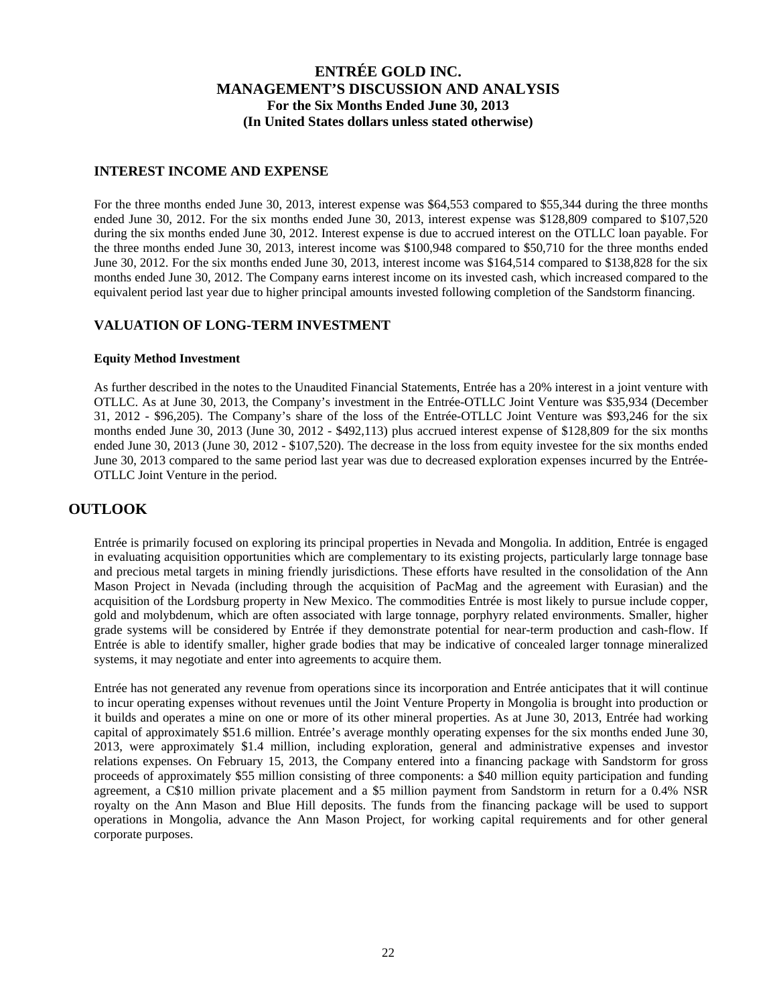#### **INTEREST INCOME AND EXPENSE**

For the three months ended June 30, 2013, interest expense was \$64,553 compared to \$55,344 during the three months ended June 30, 2012. For the six months ended June 30, 2013, interest expense was \$128,809 compared to \$107,520 during the six months ended June 30, 2012. Interest expense is due to accrued interest on the OTLLC loan payable. For the three months ended June 30, 2013, interest income was \$100,948 compared to \$50,710 for the three months ended June 30, 2012. For the six months ended June 30, 2013, interest income was \$164,514 compared to \$138,828 for the six months ended June 30, 2012. The Company earns interest income on its invested cash, which increased compared to the equivalent period last year due to higher principal amounts invested following completion of the Sandstorm financing.

#### **VALUATION OF LONG-TERM INVESTMENT**

#### **Equity Method Investment**

As further described in the notes to the Unaudited Financial Statements, Entrée has a 20% interest in a joint venture with OTLLC. As at June 30, 2013, the Company's investment in the Entrée-OTLLC Joint Venture was \$35,934 (December 31, 2012 - \$96,205). The Company's share of the loss of the Entrée-OTLLC Joint Venture was \$93,246 for the six months ended June 30, 2013 (June 30, 2012 - \$492,113) plus accrued interest expense of \$128,809 for the six months ended June 30, 2013 (June 30, 2012 - \$107,520). The decrease in the loss from equity investee for the six months ended June 30, 2013 compared to the same period last year was due to decreased exploration expenses incurred by the Entrée-OTLLC Joint Venture in the period.

### **OUTLOOK**

Entrée is primarily focused on exploring its principal properties in Nevada and Mongolia. In addition, Entrée is engaged in evaluating acquisition opportunities which are complementary to its existing projects, particularly large tonnage base and precious metal targets in mining friendly jurisdictions. These efforts have resulted in the consolidation of the Ann Mason Project in Nevada (including through the acquisition of PacMag and the agreement with Eurasian) and the acquisition of the Lordsburg property in New Mexico. The commodities Entrée is most likely to pursue include copper, gold and molybdenum, which are often associated with large tonnage, porphyry related environments. Smaller, higher grade systems will be considered by Entrée if they demonstrate potential for near-term production and cash-flow. If Entrée is able to identify smaller, higher grade bodies that may be indicative of concealed larger tonnage mineralized systems, it may negotiate and enter into agreements to acquire them.

Entrée has not generated any revenue from operations since its incorporation and Entrée anticipates that it will continue to incur operating expenses without revenues until the Joint Venture Property in Mongolia is brought into production or it builds and operates a mine on one or more of its other mineral properties. As at June 30, 2013, Entrée had working capital of approximately \$51.6 million. Entrée's average monthly operating expenses for the six months ended June 30, 2013, were approximately \$1.4 million, including exploration, general and administrative expenses and investor relations expenses. On February 15, 2013, the Company entered into a financing package with Sandstorm for gross proceeds of approximately \$55 million consisting of three components: a \$40 million equity participation and funding agreement, a C\$10 million private placement and a \$5 million payment from Sandstorm in return for a 0.4% NSR royalty on the Ann Mason and Blue Hill deposits. The funds from the financing package will be used to support operations in Mongolia, advance the Ann Mason Project, for working capital requirements and for other general corporate purposes.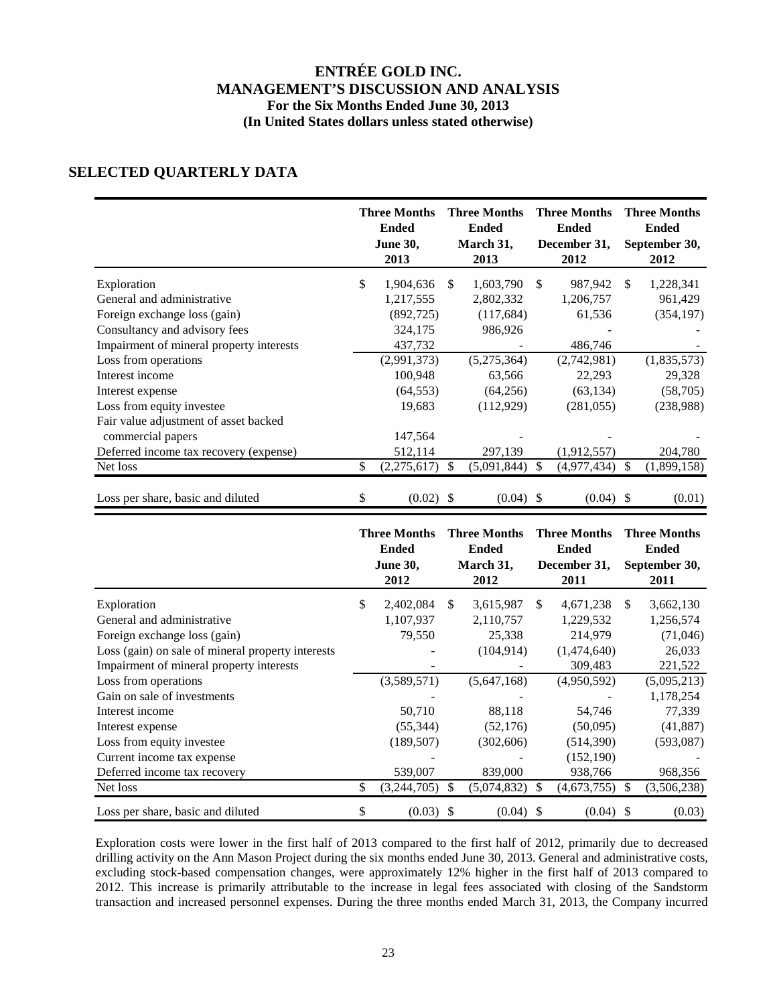# **SELECTED QUARTERLY DATA**

|                                          | <b>Three Months</b><br><b>Ended</b><br><b>June 30,</b><br>2013 |               | <b>Three Months</b><br><b>Ended</b><br>March 31,<br>2013 | <b>Three Months</b><br><b>Ended</b><br>December 31,<br>2012 |     | <b>Three Months</b><br><b>Ended</b><br>September 30,<br>2012 |
|------------------------------------------|----------------------------------------------------------------|---------------|----------------------------------------------------------|-------------------------------------------------------------|-----|--------------------------------------------------------------|
| Exploration                              | \$<br>1,904,636                                                | <sup>\$</sup> | 1,603,790                                                | \$<br>987,942                                               | \$. | 1,228,341                                                    |
| General and administrative               | 1,217,555                                                      |               | 2,802,332                                                | 1,206,757                                                   |     | 961,429                                                      |
| Foreign exchange loss (gain)             | (892, 725)                                                     |               | (117,684)                                                | 61,536                                                      |     | (354, 197)                                                   |
| Consultancy and advisory fees            | 324,175                                                        |               | 986,926                                                  |                                                             |     |                                                              |
| Impairment of mineral property interests | 437,732                                                        |               |                                                          | 486,746                                                     |     |                                                              |
| Loss from operations                     | (2,991,373)                                                    |               | (5,275,364)                                              | (2,742,981)                                                 |     | (1,835,573)                                                  |
| Interest income                          | 100,948                                                        |               | 63,566                                                   | 22,293                                                      |     | 29,328                                                       |
| Interest expense                         | (64, 553)                                                      |               | (64,256)                                                 | (63, 134)                                                   |     | (58,705)                                                     |
| Loss from equity investee                | 19,683                                                         |               | (112,929)                                                | (281, 055)                                                  |     | (238,988)                                                    |
| Fair value adjustment of asset backed    |                                                                |               |                                                          |                                                             |     |                                                              |
| commercial papers                        | 147,564                                                        |               |                                                          |                                                             |     |                                                              |
| Deferred income tax recovery (expense)   | 512,114                                                        |               | 297,139                                                  | (1,912,557)                                                 |     | 204,780                                                      |
| Net loss                                 | \$<br>(2,275,617)                                              | \$            | (5,091,844)                                              | \$<br>(4,977,434)                                           | \$  | (1,899,158)                                                  |
| Loss per share, basic and diluted        | \$<br>$(0.02)$ \$                                              |               | $(0.04)$ \$                                              | $(0.04)$ \$                                                 |     | (0.01)                                                       |

|                                                   | <b>Three Months</b><br><b>Ended</b><br><b>June 30,</b><br>2012 |     | <b>Three Months</b><br><b>Ended</b><br>March 31,<br>2012 |    | <b>Three Months</b><br><b>Ended</b><br>December 31,<br>2011 |     | <b>Three Months</b><br><b>Ended</b><br>September 30,<br>2011 |
|---------------------------------------------------|----------------------------------------------------------------|-----|----------------------------------------------------------|----|-------------------------------------------------------------|-----|--------------------------------------------------------------|
| Exploration                                       | \$<br>2,402,084                                                | \$. | 3,615,987                                                | S. | 4,671,238                                                   | \$. | 3,662,130                                                    |
| General and administrative                        | 1,107,937                                                      |     | 2,110,757                                                |    | 1,229,532                                                   |     | 1,256,574                                                    |
| Foreign exchange loss (gain)                      | 79,550                                                         |     | 25,338                                                   |    | 214,979                                                     |     | (71,046)                                                     |
| Loss (gain) on sale of mineral property interests |                                                                |     | (104, 914)                                               |    | (1,474,640)                                                 |     | 26,033                                                       |
| Impairment of mineral property interests          |                                                                |     |                                                          |    | 309,483                                                     |     | 221,522                                                      |
| Loss from operations                              | (3,589,571)                                                    |     | (5,647,168)                                              |    | (4,950,592)                                                 |     | (5,095,213)                                                  |
| Gain on sale of investments                       |                                                                |     |                                                          |    |                                                             |     | 1,178,254                                                    |
| Interest income                                   | 50,710                                                         |     | 88,118                                                   |    | 54,746                                                      |     | 77,339                                                       |
| Interest expense                                  | (55, 344)                                                      |     | (52, 176)                                                |    | (50,095)                                                    |     | (41, 887)                                                    |
| Loss from equity investee                         | (189, 507)                                                     |     | (302,606)                                                |    | (514, 390)                                                  |     | (593,087)                                                    |
| Current income tax expense                        |                                                                |     |                                                          |    | (152, 190)                                                  |     |                                                              |
| Deferred income tax recovery                      | 539,007                                                        |     | 839,000                                                  |    | 938,766                                                     |     | 968,356                                                      |
| Net loss                                          | \$<br>(3,244,705)                                              | S   | (5,074,832)                                              | S  | (4,673,755)                                                 |     | (3,506,238)                                                  |
| Loss per share, basic and diluted                 | \$<br>(0.03)                                                   | S   | (0.04)                                                   | -S | (0.04)                                                      | S   | (0.03)                                                       |

Exploration costs were lower in the first half of 2013 compared to the first half of 2012, primarily due to decreased drilling activity on the Ann Mason Project during the six months ended June 30, 2013. General and administrative costs, excluding stock-based compensation changes, were approximately 12% higher in the first half of 2013 compared to 2012. This increase is primarily attributable to the increase in legal fees associated with closing of the Sandstorm transaction and increased personnel expenses. During the three months ended March 31, 2013, the Company incurred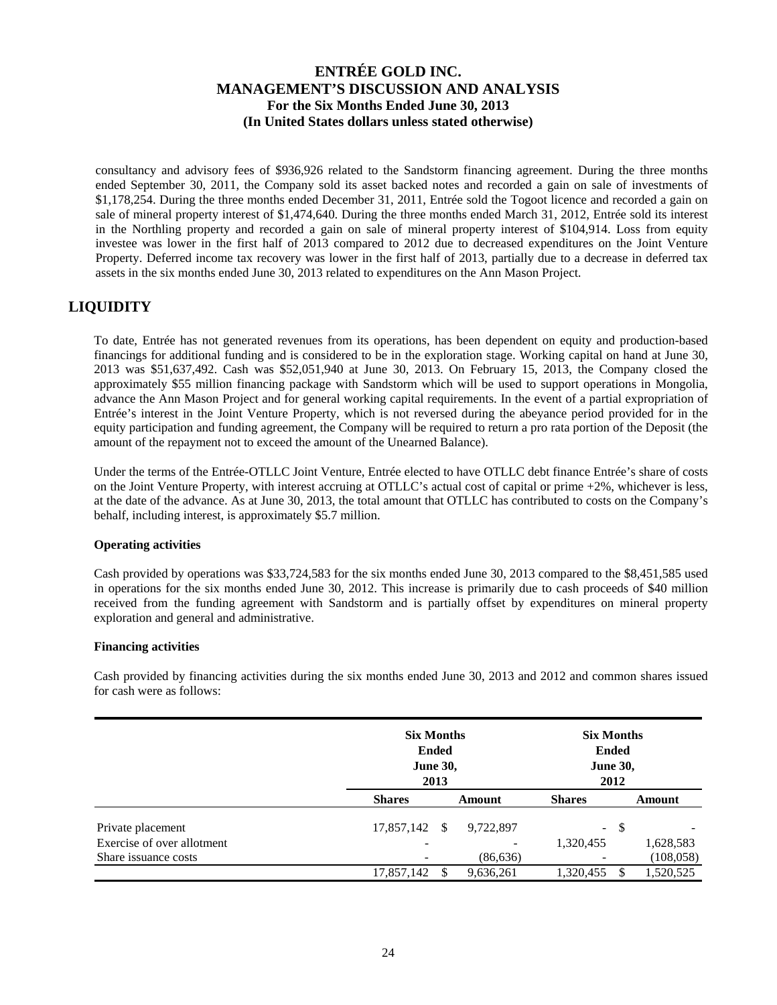consultancy and advisory fees of \$936,926 related to the Sandstorm financing agreement. During the three months ended September 30, 2011, the Company sold its asset backed notes and recorded a gain on sale of investments of \$1,178,254. During the three months ended December 31, 2011, Entrée sold the Togoot licence and recorded a gain on sale of mineral property interest of \$1,474,640. During the three months ended March 31, 2012, Entrée sold its interest in the Northling property and recorded a gain on sale of mineral property interest of \$104,914. Loss from equity investee was lower in the first half of 2013 compared to 2012 due to decreased expenditures on the Joint Venture Property. Deferred income tax recovery was lower in the first half of 2013, partially due to a decrease in deferred tax assets in the six months ended June 30, 2013 related to expenditures on the Ann Mason Project.

# **LIQUIDITY**

To date, Entrée has not generated revenues from its operations, has been dependent on equity and production-based financings for additional funding and is considered to be in the exploration stage. Working capital on hand at June 30, 2013 was \$51,637,492. Cash was \$52,051,940 at June 30, 2013. On February 15, 2013, the Company closed the approximately \$55 million financing package with Sandstorm which will be used to support operations in Mongolia, advance the Ann Mason Project and for general working capital requirements. In the event of a partial expropriation of Entrée's interest in the Joint Venture Property, which is not reversed during the abeyance period provided for in the equity participation and funding agreement, the Company will be required to return a pro rata portion of the Deposit (the amount of the repayment not to exceed the amount of the Unearned Balance).

Under the terms of the Entrée-OTLLC Joint Venture, Entrée elected to have OTLLC debt finance Entrée's share of costs on the Joint Venture Property, with interest accruing at OTLLC's actual cost of capital or prime +2%, whichever is less, at the date of the advance. As at June 30, 2013, the total amount that OTLLC has contributed to costs on the Company's behalf, including interest, is approximately \$5.7 million.

#### **Operating activities**

Cash provided by operations was \$33,724,583 for the six months ended June 30, 2013 compared to the \$8,451,585 used in operations for the six months ended June 30, 2012. This increase is primarily due to cash proceeds of \$40 million received from the funding agreement with Sandstorm and is partially offset by expenditures on mineral property exploration and general and administrative.

#### **Financing activities**

Cash provided by financing activities during the six months ended June 30, 2013 and 2012 and common shares issued for cash were as follows:

|                            | <b>Six Months</b><br><b>June 30,</b> | <b>Ended</b><br>2013 | <b>Six Months</b><br><b>Ended</b><br><b>June 30,</b><br>2012 |                          |               |            |
|----------------------------|--------------------------------------|----------------------|--------------------------------------------------------------|--------------------------|---------------|------------|
|                            | <b>Shares</b>                        | Amount               |                                                              | <b>Shares</b>            | Amount        |            |
| Private placement          | 17,857,142 \$                        |                      | 9,722,897                                                    | $\overline{\phantom{a}}$ | <sup>\$</sup> |            |
| Exercise of over allotment |                                      |                      |                                                              | 1,320,455                |               | 1,628,583  |
| Share issuance costs       |                                      |                      | (86, 636)                                                    | $\overline{\phantom{a}}$ |               | (108, 058) |
|                            | 17,857,142                           |                      | 9,636,261                                                    | 1,320,455                |               | 1,520,525  |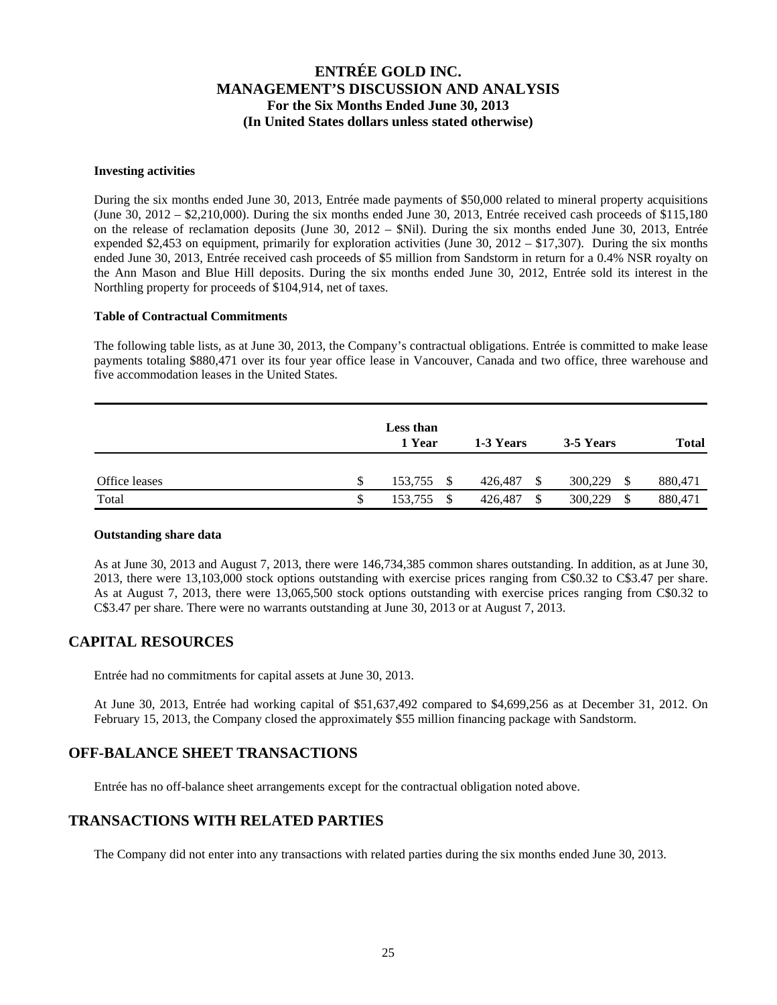#### **Investing activities**

During the six months ended June 30, 2013, Entrée made payments of \$50,000 related to mineral property acquisitions (June  $30, 2012 - $2,210,000$ ). During the six months ended June  $30, 2013$ , Entrée received cash proceeds of \$115,180 on the release of reclamation deposits (June 30, 2012 – \$Nil). During the six months ended June 30, 2013, Entrée expended \$2,453 on equipment, primarily for exploration activities (June 30, 2012 – \$17,307). During the six months ended June 30, 2013, Entrée received cash proceeds of \$5 million from Sandstorm in return for a 0.4% NSR royalty on the Ann Mason and Blue Hill deposits. During the six months ended June 30, 2012, Entrée sold its interest in the Northling property for proceeds of \$104,914, net of taxes.

#### **Table of Contractual Commitments**

The following table lists, as at June 30, 2013, the Company's contractual obligations. Entrée is committed to make lease payments totaling \$880,471 over its four year office lease in Vancouver, Canada and two office, three warehouse and five accommodation leases in the United States.

|               |   | Less than<br>1 Year | 1-3 Years |               | 3-5 Years    | <b>Total</b> |
|---------------|---|---------------------|-----------|---------------|--------------|--------------|
| Office leases | S | 153,755 \$          | 426,487   | <sup>\$</sup> | 300,229      | 880,471      |
| Total         | S | 153,755<br>-S       | 426,487   | \$            | 300,229<br>S | 880,471      |

#### **Outstanding share data**

As at June 30, 2013 and August 7, 2013, there were 146,734,385 common shares outstanding. In addition, as at June 30, 2013, there were 13,103,000 stock options outstanding with exercise prices ranging from C\$0.32 to C\$3.47 per share. As at August 7, 2013, there were 13,065,500 stock options outstanding with exercise prices ranging from C\$0.32 to C\$3.47 per share. There were no warrants outstanding at June 30, 2013 or at August 7, 2013.

## **CAPITAL RESOURCES**

Entrée had no commitments for capital assets at June 30, 2013.

At June 30, 2013, Entrée had working capital of \$51,637,492 compared to \$4,699,256 as at December 31, 2012. On February 15, 2013, the Company closed the approximately \$55 million financing package with Sandstorm.

## **OFF-BALANCE SHEET TRANSACTIONS**

Entrée has no off-balance sheet arrangements except for the contractual obligation noted above.

## **TRANSACTIONS WITH RELATED PARTIES**

The Company did not enter into any transactions with related parties during the six months ended June 30, 2013.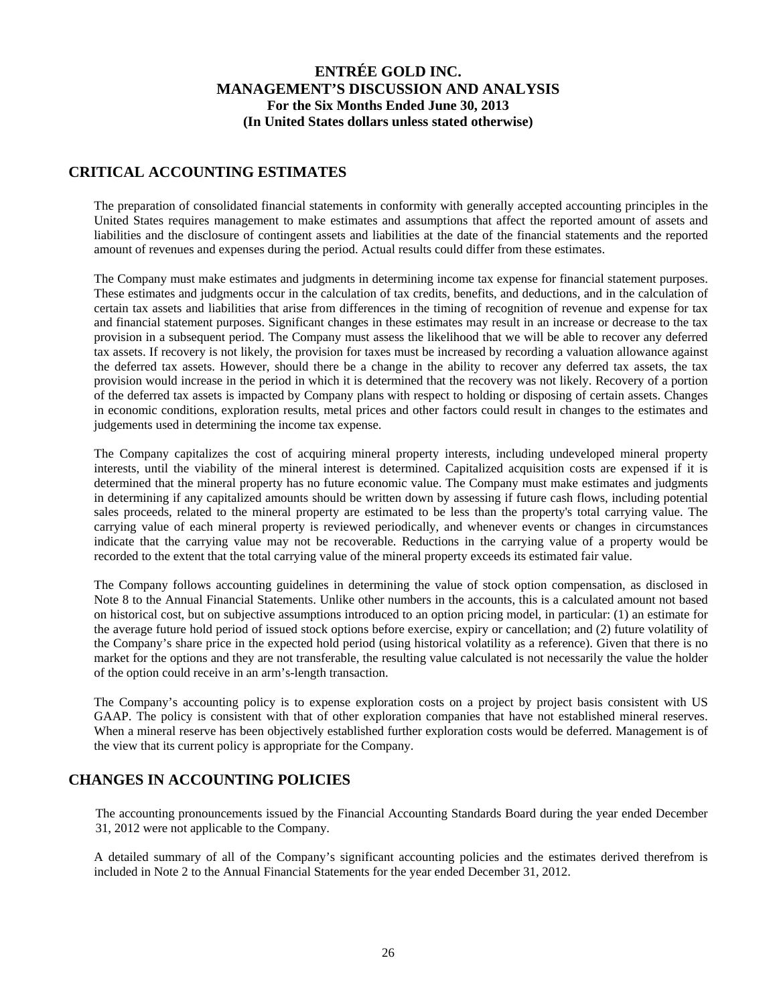### **CRITICAL ACCOUNTING ESTIMATES**

The preparation of consolidated financial statements in conformity with generally accepted accounting principles in the United States requires management to make estimates and assumptions that affect the reported amount of assets and liabilities and the disclosure of contingent assets and liabilities at the date of the financial statements and the reported amount of revenues and expenses during the period. Actual results could differ from these estimates.

The Company must make estimates and judgments in determining income tax expense for financial statement purposes. These estimates and judgments occur in the calculation of tax credits, benefits, and deductions, and in the calculation of certain tax assets and liabilities that arise from differences in the timing of recognition of revenue and expense for tax and financial statement purposes. Significant changes in these estimates may result in an increase or decrease to the tax provision in a subsequent period. The Company must assess the likelihood that we will be able to recover any deferred tax assets. If recovery is not likely, the provision for taxes must be increased by recording a valuation allowance against the deferred tax assets. However, should there be a change in the ability to recover any deferred tax assets, the tax provision would increase in the period in which it is determined that the recovery was not likely. Recovery of a portion of the deferred tax assets is impacted by Company plans with respect to holding or disposing of certain assets. Changes in economic conditions, exploration results, metal prices and other factors could result in changes to the estimates and judgements used in determining the income tax expense.

The Company capitalizes the cost of acquiring mineral property interests, including undeveloped mineral property interests, until the viability of the mineral interest is determined. Capitalized acquisition costs are expensed if it is determined that the mineral property has no future economic value. The Company must make estimates and judgments in determining if any capitalized amounts should be written down by assessing if future cash flows, including potential sales proceeds, related to the mineral property are estimated to be less than the property's total carrying value. The carrying value of each mineral property is reviewed periodically, and whenever events or changes in circumstances indicate that the carrying value may not be recoverable. Reductions in the carrying value of a property would be recorded to the extent that the total carrying value of the mineral property exceeds its estimated fair value.

The Company follows accounting guidelines in determining the value of stock option compensation, as disclosed in Note 8 to the Annual Financial Statements. Unlike other numbers in the accounts, this is a calculated amount not based on historical cost, but on subjective assumptions introduced to an option pricing model, in particular: (1) an estimate for the average future hold period of issued stock options before exercise, expiry or cancellation; and (2) future volatility of the Company's share price in the expected hold period (using historical volatility as a reference). Given that there is no market for the options and they are not transferable, the resulting value calculated is not necessarily the value the holder of the option could receive in an arm's-length transaction.

The Company's accounting policy is to expense exploration costs on a project by project basis consistent with US GAAP. The policy is consistent with that of other exploration companies that have not established mineral reserves. When a mineral reserve has been objectively established further exploration costs would be deferred. Management is of the view that its current policy is appropriate for the Company.

## **CHANGES IN ACCOUNTING POLICIES**

The accounting pronouncements issued by the Financial Accounting Standards Board during the year ended December 31, 2012 were not applicable to the Company.

A detailed summary of all of the Company's significant accounting policies and the estimates derived therefrom is included in Note 2 to the Annual Financial Statements for the year ended December 31, 2012.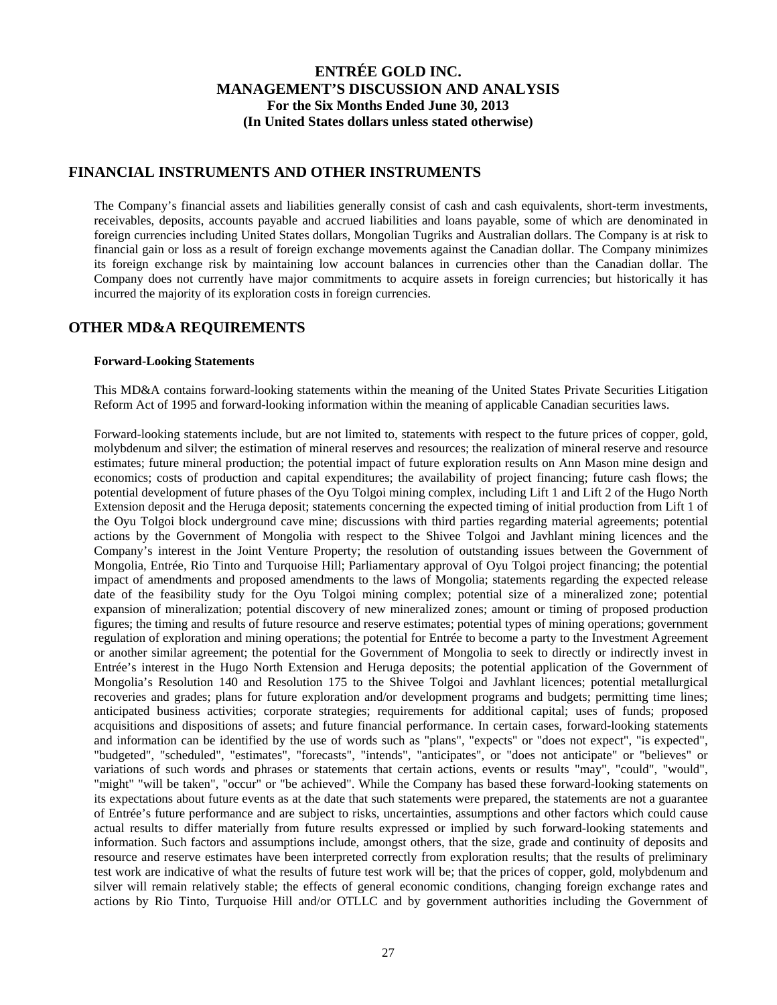#### **FINANCIAL INSTRUMENTS AND OTHER INSTRUMENTS**

The Company's financial assets and liabilities generally consist of cash and cash equivalents, short-term investments, receivables, deposits, accounts payable and accrued liabilities and loans payable, some of which are denominated in foreign currencies including United States dollars, Mongolian Tugriks and Australian dollars. The Company is at risk to financial gain or loss as a result of foreign exchange movements against the Canadian dollar. The Company minimizes its foreign exchange risk by maintaining low account balances in currencies other than the Canadian dollar. The Company does not currently have major commitments to acquire assets in foreign currencies; but historically it has incurred the majority of its exploration costs in foreign currencies.

### **OTHER MD&A REQUIREMENTS**

#### **Forward-Looking Statements**

This MD&A contains forward-looking statements within the meaning of the United States Private Securities Litigation Reform Act of 1995 and forward-looking information within the meaning of applicable Canadian securities laws.

Forward-looking statements include, but are not limited to, statements with respect to the future prices of copper, gold, molybdenum and silver; the estimation of mineral reserves and resources; the realization of mineral reserve and resource estimates; future mineral production; the potential impact of future exploration results on Ann Mason mine design and economics; costs of production and capital expenditures; the availability of project financing; future cash flows; the potential development of future phases of the Oyu Tolgoi mining complex, including Lift 1 and Lift 2 of the Hugo North Extension deposit and the Heruga deposit; statements concerning the expected timing of initial production from Lift 1 of the Oyu Tolgoi block underground cave mine; discussions with third parties regarding material agreements; potential actions by the Government of Mongolia with respect to the Shivee Tolgoi and Javhlant mining licences and the Company's interest in the Joint Venture Property; the resolution of outstanding issues between the Government of Mongolia, Entrée, Rio Tinto and Turquoise Hill; Parliamentary approval of Oyu Tolgoi project financing; the potential impact of amendments and proposed amendments to the laws of Mongolia; statements regarding the expected release date of the feasibility study for the Oyu Tolgoi mining complex; potential size of a mineralized zone; potential expansion of mineralization; potential discovery of new mineralized zones; amount or timing of proposed production figures; the timing and results of future resource and reserve estimates; potential types of mining operations; government regulation of exploration and mining operations; the potential for Entrée to become a party to the Investment Agreement or another similar agreement; the potential for the Government of Mongolia to seek to directly or indirectly invest in Entrée's interest in the Hugo North Extension and Heruga deposits; the potential application of the Government of Mongolia's Resolution 140 and Resolution 175 to the Shivee Tolgoi and Javhlant licences; potential metallurgical recoveries and grades; plans for future exploration and/or development programs and budgets; permitting time lines; anticipated business activities; corporate strategies; requirements for additional capital; uses of funds; proposed acquisitions and dispositions of assets; and future financial performance. In certain cases, forward-looking statements and information can be identified by the use of words such as "plans", "expects" or "does not expect", "is expected", "budgeted", "scheduled", "estimates", "forecasts", "intends", "anticipates", or "does not anticipate" or "believes" or variations of such words and phrases or statements that certain actions, events or results "may", "could", "would", "might" "will be taken", "occur" or "be achieved". While the Company has based these forward-looking statements on its expectations about future events as at the date that such statements were prepared, the statements are not a guarantee of Entrée's future performance and are subject to risks, uncertainties, assumptions and other factors which could cause actual results to differ materially from future results expressed or implied by such forward-looking statements and information. Such factors and assumptions include, amongst others, that the size, grade and continuity of deposits and resource and reserve estimates have been interpreted correctly from exploration results; that the results of preliminary test work are indicative of what the results of future test work will be; that the prices of copper, gold, molybdenum and silver will remain relatively stable; the effects of general economic conditions, changing foreign exchange rates and actions by Rio Tinto, Turquoise Hill and/or OTLLC and by government authorities including the Government of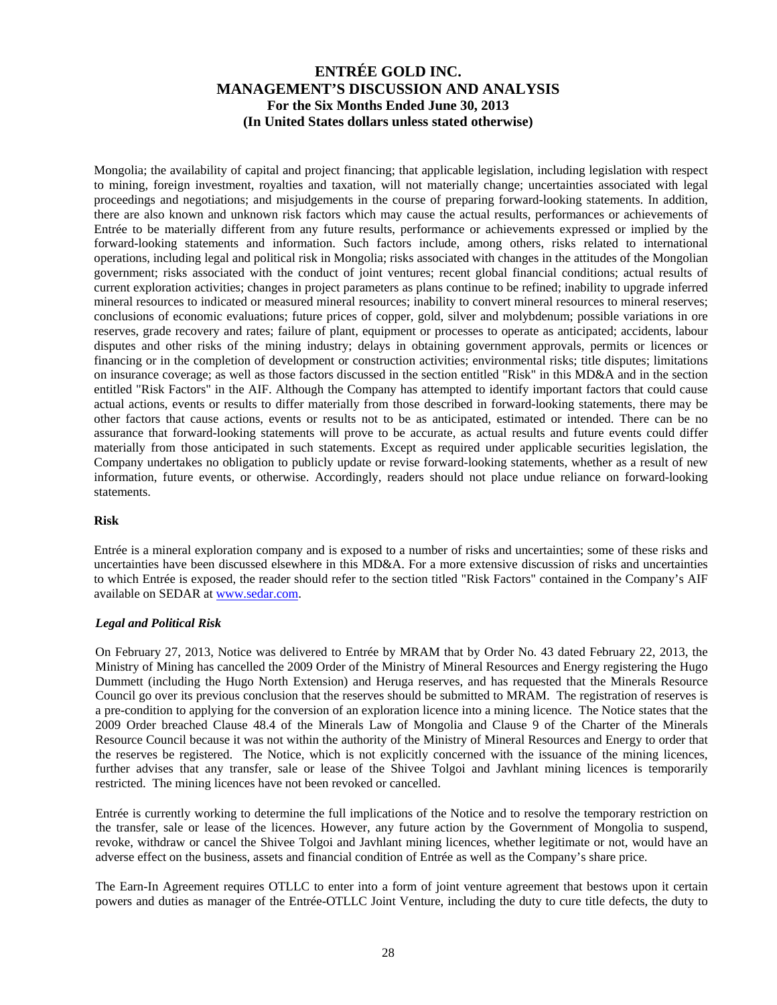Mongolia; the availability of capital and project financing; that applicable legislation, including legislation with respect to mining, foreign investment, royalties and taxation, will not materially change; uncertainties associated with legal proceedings and negotiations; and misjudgements in the course of preparing forward-looking statements. In addition, there are also known and unknown risk factors which may cause the actual results, performances or achievements of Entrée to be materially different from any future results, performance or achievements expressed or implied by the forward-looking statements and information. Such factors include, among others, risks related to international operations, including legal and political risk in Mongolia; risks associated with changes in the attitudes of the Mongolian government; risks associated with the conduct of joint ventures; recent global financial conditions; actual results of current exploration activities; changes in project parameters as plans continue to be refined; inability to upgrade inferred mineral resources to indicated or measured mineral resources; inability to convert mineral resources to mineral reserves; conclusions of economic evaluations; future prices of copper, gold, silver and molybdenum; possible variations in ore reserves, grade recovery and rates; failure of plant, equipment or processes to operate as anticipated; accidents, labour disputes and other risks of the mining industry; delays in obtaining government approvals, permits or licences or financing or in the completion of development or construction activities; environmental risks; title disputes; limitations on insurance coverage; as well as those factors discussed in the section entitled "Risk" in this MD&A and in the section entitled "Risk Factors" in the AIF. Although the Company has attempted to identify important factors that could cause actual actions, events or results to differ materially from those described in forward-looking statements, there may be other factors that cause actions, events or results not to be as anticipated, estimated or intended. There can be no assurance that forward-looking statements will prove to be accurate, as actual results and future events could differ materially from those anticipated in such statements. Except as required under applicable securities legislation, the Company undertakes no obligation to publicly update or revise forward-looking statements, whether as a result of new information, future events, or otherwise. Accordingly, readers should not place undue reliance on forward-looking statements.

#### **Risk**

Entrée is a mineral exploration company and is exposed to a number of risks and uncertainties; some of these risks and uncertainties have been discussed elsewhere in this MD&A. For a more extensive discussion of risks and uncertainties to which Entrée is exposed, the reader should refer to the section titled "Risk Factors" contained in the Company's AIF available on SEDAR at www.sedar.com.

#### *Legal and Political Risk*

On February 27, 2013, Notice was delivered to Entrée by MRAM that by Order No. 43 dated February 22, 2013, the Ministry of Mining has cancelled the 2009 Order of the Ministry of Mineral Resources and Energy registering the Hugo Dummett (including the Hugo North Extension) and Heruga reserves, and has requested that the Minerals Resource Council go over its previous conclusion that the reserves should be submitted to MRAM. The registration of reserves is a pre-condition to applying for the conversion of an exploration licence into a mining licence. The Notice states that the 2009 Order breached Clause 48.4 of the Minerals Law of Mongolia and Clause 9 of the Charter of the Minerals Resource Council because it was not within the authority of the Ministry of Mineral Resources and Energy to order that the reserves be registered. The Notice, which is not explicitly concerned with the issuance of the mining licences, further advises that any transfer, sale or lease of the Shivee Tolgoi and Javhlant mining licences is temporarily restricted. The mining licences have not been revoked or cancelled.

Entrée is currently working to determine the full implications of the Notice and to resolve the temporary restriction on the transfer, sale or lease of the licences. However, any future action by the Government of Mongolia to suspend, revoke, withdraw or cancel the Shivee Tolgoi and Javhlant mining licences, whether legitimate or not, would have an adverse effect on the business, assets and financial condition of Entrée as well as the Company's share price.

The Earn-In Agreement requires OTLLC to enter into a form of joint venture agreement that bestows upon it certain powers and duties as manager of the Entrée-OTLLC Joint Venture, including the duty to cure title defects, the duty to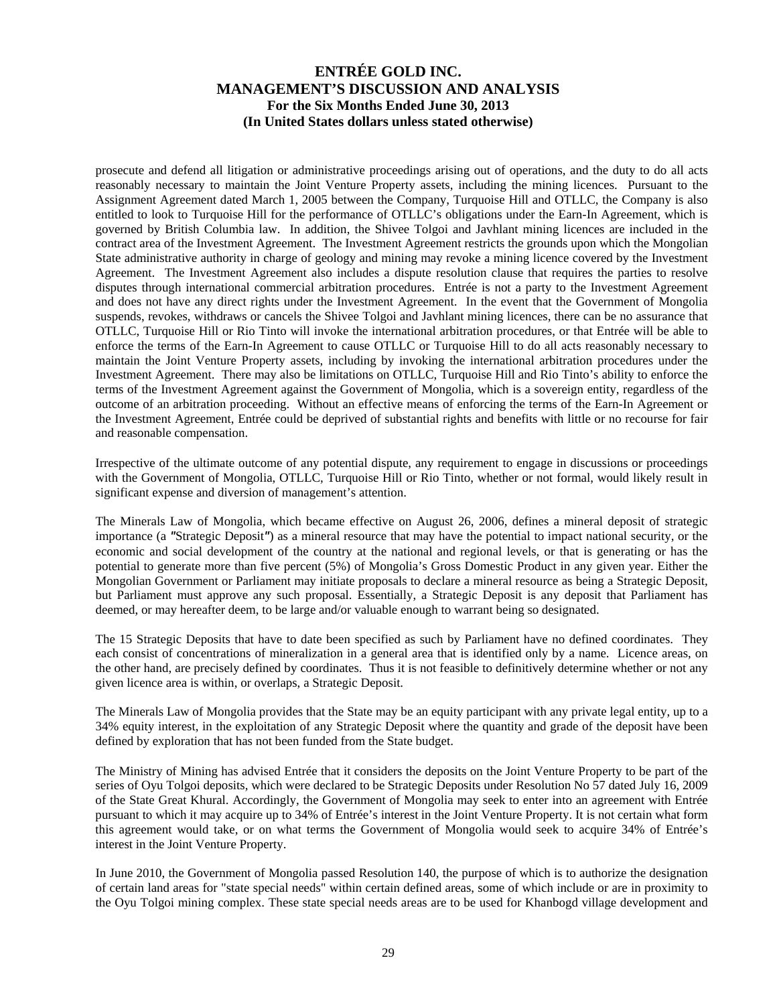prosecute and defend all litigation or administrative proceedings arising out of operations, and the duty to do all acts reasonably necessary to maintain the Joint Venture Property assets, including the mining licences. Pursuant to the Assignment Agreement dated March 1, 2005 between the Company, Turquoise Hill and OTLLC, the Company is also entitled to look to Turquoise Hill for the performance of OTLLC's obligations under the Earn-In Agreement, which is governed by British Columbia law. In addition, the Shivee Tolgoi and Javhlant mining licences are included in the contract area of the Investment Agreement. The Investment Agreement restricts the grounds upon which the Mongolian State administrative authority in charge of geology and mining may revoke a mining licence covered by the Investment Agreement. The Investment Agreement also includes a dispute resolution clause that requires the parties to resolve disputes through international commercial arbitration procedures. Entrée is not a party to the Investment Agreement and does not have any direct rights under the Investment Agreement. In the event that the Government of Mongolia suspends, revokes, withdraws or cancels the Shivee Tolgoi and Javhlant mining licences, there can be no assurance that OTLLC, Turquoise Hill or Rio Tinto will invoke the international arbitration procedures, or that Entrée will be able to enforce the terms of the Earn-In Agreement to cause OTLLC or Turquoise Hill to do all acts reasonably necessary to maintain the Joint Venture Property assets, including by invoking the international arbitration procedures under the Investment Agreement. There may also be limitations on OTLLC, Turquoise Hill and Rio Tinto's ability to enforce the terms of the Investment Agreement against the Government of Mongolia, which is a sovereign entity, regardless of the outcome of an arbitration proceeding. Without an effective means of enforcing the terms of the Earn-In Agreement or the Investment Agreement, Entrée could be deprived of substantial rights and benefits with little or no recourse for fair and reasonable compensation.

Irrespective of the ultimate outcome of any potential dispute, any requirement to engage in discussions or proceedings with the Government of Mongolia, OTLLC, Turquoise Hill or Rio Tinto, whether or not formal, would likely result in significant expense and diversion of management's attention.

The Minerals Law of Mongolia, which became effective on August 26, 2006, defines a mineral deposit of strategic importance (a *"*Strategic Deposit*"*) as a mineral resource that may have the potential to impact national security, or the economic and social development of the country at the national and regional levels, or that is generating or has the potential to generate more than five percent (5%) of Mongolia's Gross Domestic Product in any given year. Either the Mongolian Government or Parliament may initiate proposals to declare a mineral resource as being a Strategic Deposit, but Parliament must approve any such proposal. Essentially, a Strategic Deposit is any deposit that Parliament has deemed, or may hereafter deem, to be large and/or valuable enough to warrant being so designated.

The 15 Strategic Deposits that have to date been specified as such by Parliament have no defined coordinates. They each consist of concentrations of mineralization in a general area that is identified only by a name. Licence areas, on the other hand, are precisely defined by coordinates. Thus it is not feasible to definitively determine whether or not any given licence area is within, or overlaps, a Strategic Deposit.

The Minerals Law of Mongolia provides that the State may be an equity participant with any private legal entity, up to a 34% equity interest, in the exploitation of any Strategic Deposit where the quantity and grade of the deposit have been defined by exploration that has not been funded from the State budget.

The Ministry of Mining has advised Entrée that it considers the deposits on the Joint Venture Property to be part of the series of Oyu Tolgoi deposits, which were declared to be Strategic Deposits under Resolution No 57 dated July 16, 2009 of the State Great Khural. Accordingly, the Government of Mongolia may seek to enter into an agreement with Entrée pursuant to which it may acquire up to 34% of Entrée's interest in the Joint Venture Property. It is not certain what form this agreement would take, or on what terms the Government of Mongolia would seek to acquire 34% of Entrée's interest in the Joint Venture Property.

In June 2010, the Government of Mongolia passed Resolution 140, the purpose of which is to authorize the designation of certain land areas for "state special needs" within certain defined areas, some of which include or are in proximity to the Oyu Tolgoi mining complex. These state special needs areas are to be used for Khanbogd village development and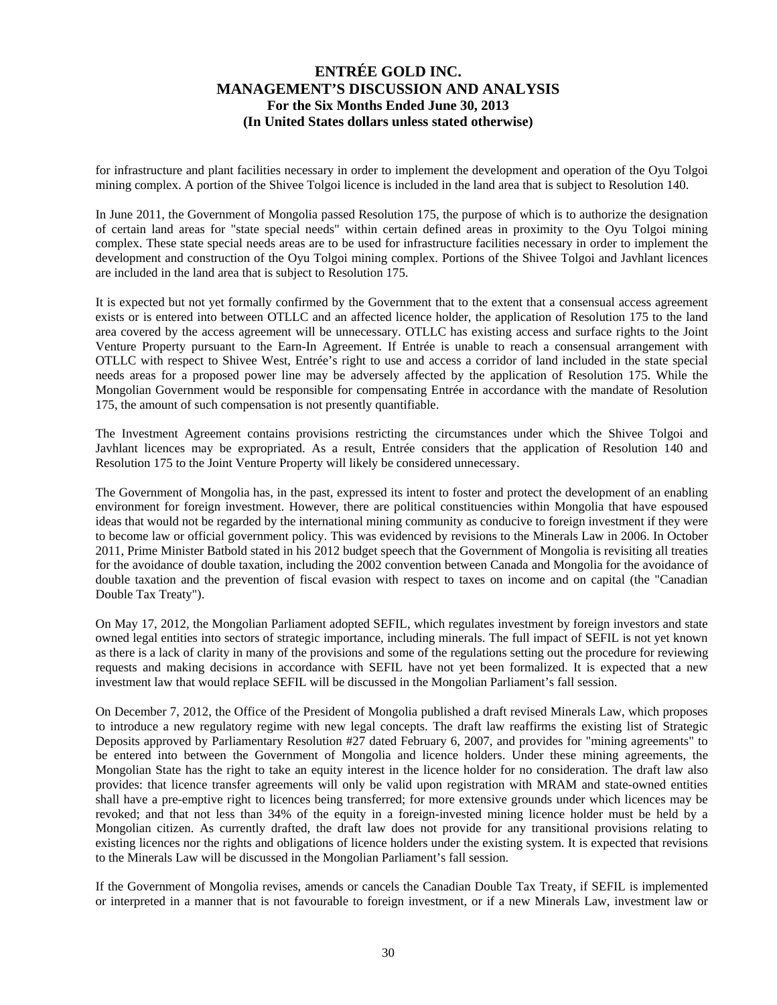for infrastructure and plant facilities necessary in order to implement the development and operation of the Oyu Tolgoi mining complex. A portion of the Shivee Tolgoi licence is included in the land area that is subject to Resolution 140.

In June 2011, the Government of Mongolia passed Resolution 175, the purpose of which is to authorize the designation of certain land areas for "state special needs" within certain defined areas in proximity to the Oyu Tolgoi mining complex. These state special needs areas are to be used for infrastructure facilities necessary in order to implement the development and construction of the Oyu Tolgoi mining complex. Portions of the Shivee Tolgoi and Javhlant licences are included in the land area that is subject to Resolution 175.

It is expected but not yet formally confirmed by the Government that to the extent that a consensual access agreement exists or is entered into between OTLLC and an affected licence holder, the application of Resolution 175 to the land area covered by the access agreement will be unnecessary. OTLLC has existing access and surface rights to the Joint Venture Property pursuant to the Earn-In Agreement. If Entrée is unable to reach a consensual arrangement with OTLLC with respect to Shivee West, Entrée's right to use and access a corridor of land included in the state special needs areas for a proposed power line may be adversely affected by the application of Resolution 175. While the Mongolian Government would be responsible for compensating Entrée in accordance with the mandate of Resolution 175, the amount of such compensation is not presently quantifiable.

The Investment Agreement contains provisions restricting the circumstances under which the Shivee Tolgoi and Javhlant licences may be expropriated. As a result, Entrée considers that the application of Resolution 140 and Resolution 175 to the Joint Venture Property will likely be considered unnecessary.

The Government of Mongolia has, in the past, expressed its intent to foster and protect the development of an enabling environment for foreign investment. However, there are political constituencies within Mongolia that have espoused ideas that would not be regarded by the international mining community as conducive to foreign investment if they were to become law or official government policy. This was evidenced by revisions to the Minerals Law in 2006. In October 2011, Prime Minister Batbold stated in his 2012 budget speech that the Government of Mongolia is revisiting all treaties for the avoidance of double taxation, including the 2002 convention between Canada and Mongolia for the avoidance of double taxation and the prevention of fiscal evasion with respect to taxes on income and on capital (the "Canadian Double Tax Treaty").

On May 17, 2012, the Mongolian Parliament adopted SEFIL, which regulates investment by foreign investors and state owned legal entities into sectors of strategic importance, including minerals. The full impact of SEFIL is not yet known as there is a lack of clarity in many of the provisions and some of the regulations setting out the procedure for reviewing requests and making decisions in accordance with SEFIL have not yet been formalized. It is expected that a new investment law that would replace SEFIL will be discussed in the Mongolian Parliament's fall session.

On December 7, 2012, the Office of the President of Mongolia published a draft revised Minerals Law, which proposes to introduce a new regulatory regime with new legal concepts. The draft law reaffirms the existing list of Strategic Deposits approved by Parliamentary Resolution #27 dated February 6, 2007, and provides for "mining agreements" to be entered into between the Government of Mongolia and licence holders. Under these mining agreements, the Mongolian State has the right to take an equity interest in the licence holder for no consideration. The draft law also provides: that licence transfer agreements will only be valid upon registration with MRAM and state-owned entities shall have a pre-emptive right to licences being transferred; for more extensive grounds under which licences may be revoked; and that not less than 34% of the equity in a foreign-invested mining licence holder must be held by a Mongolian citizen. As currently drafted, the draft law does not provide for any transitional provisions relating to existing licences nor the rights and obligations of licence holders under the existing system. It is expected that revisions to the Minerals Law will be discussed in the Mongolian Parliament's fall session.

If the Government of Mongolia revises, amends or cancels the Canadian Double Tax Treaty, if SEFIL is implemented or interpreted in a manner that is not favourable to foreign investment, or if a new Minerals Law, investment law or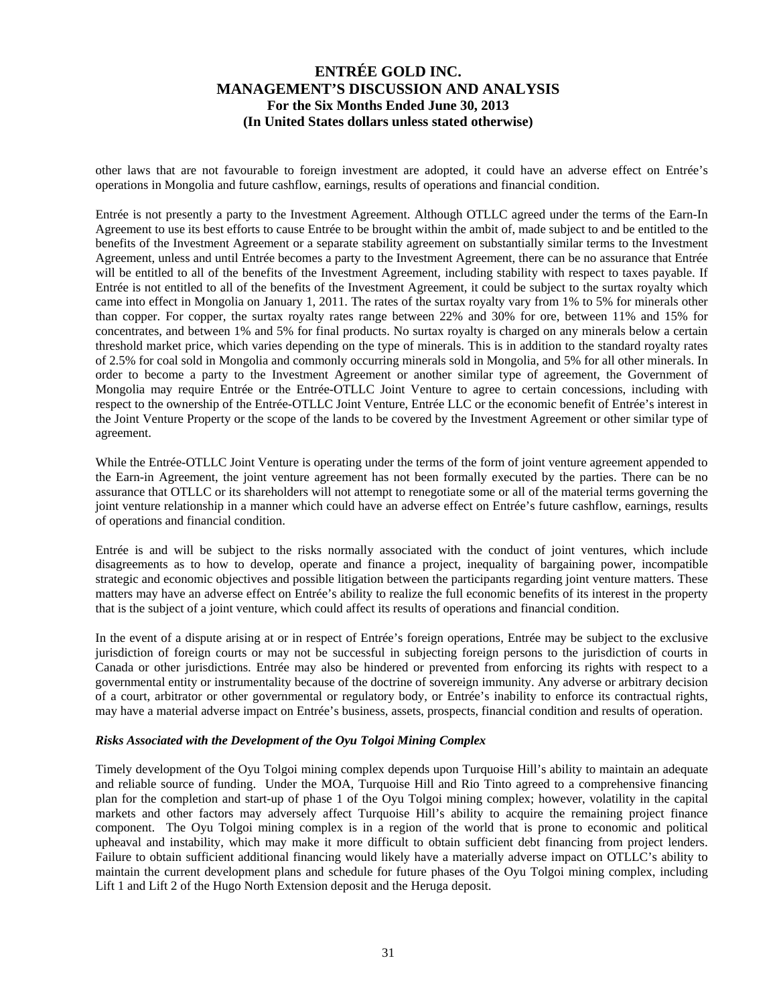other laws that are not favourable to foreign investment are adopted, it could have an adverse effect on Entrée's operations in Mongolia and future cashflow, earnings, results of operations and financial condition.

Entrée is not presently a party to the Investment Agreement. Although OTLLC agreed under the terms of the Earn-In Agreement to use its best efforts to cause Entrée to be brought within the ambit of, made subject to and be entitled to the benefits of the Investment Agreement or a separate stability agreement on substantially similar terms to the Investment Agreement, unless and until Entrée becomes a party to the Investment Agreement, there can be no assurance that Entrée will be entitled to all of the benefits of the Investment Agreement, including stability with respect to taxes payable. If Entrée is not entitled to all of the benefits of the Investment Agreement, it could be subject to the surtax royalty which came into effect in Mongolia on January 1, 2011. The rates of the surtax royalty vary from 1% to 5% for minerals other than copper. For copper, the surtax royalty rates range between 22% and 30% for ore, between 11% and 15% for concentrates, and between 1% and 5% for final products. No surtax royalty is charged on any minerals below a certain threshold market price, which varies depending on the type of minerals. This is in addition to the standard royalty rates of 2.5% for coal sold in Mongolia and commonly occurring minerals sold in Mongolia, and 5% for all other minerals. In order to become a party to the Investment Agreement or another similar type of agreement, the Government of Mongolia may require Entrée or the Entrée-OTLLC Joint Venture to agree to certain concessions, including with respect to the ownership of the Entrée-OTLLC Joint Venture, Entrée LLC or the economic benefit of Entrée's interest in the Joint Venture Property or the scope of the lands to be covered by the Investment Agreement or other similar type of agreement.

While the Entrée-OTLLC Joint Venture is operating under the terms of the form of joint venture agreement appended to the Earn-in Agreement, the joint venture agreement has not been formally executed by the parties. There can be no assurance that OTLLC or its shareholders will not attempt to renegotiate some or all of the material terms governing the joint venture relationship in a manner which could have an adverse effect on Entrée's future cashflow, earnings, results of operations and financial condition.

Entrée is and will be subject to the risks normally associated with the conduct of joint ventures, which include disagreements as to how to develop, operate and finance a project, inequality of bargaining power, incompatible strategic and economic objectives and possible litigation between the participants regarding joint venture matters. These matters may have an adverse effect on Entrée's ability to realize the full economic benefits of its interest in the property that is the subject of a joint venture, which could affect its results of operations and financial condition.

In the event of a dispute arising at or in respect of Entrée's foreign operations, Entrée may be subject to the exclusive jurisdiction of foreign courts or may not be successful in subjecting foreign persons to the jurisdiction of courts in Canada or other jurisdictions. Entrée may also be hindered or prevented from enforcing its rights with respect to a governmental entity or instrumentality because of the doctrine of sovereign immunity. Any adverse or arbitrary decision of a court, arbitrator or other governmental or regulatory body, or Entrée's inability to enforce its contractual rights, may have a material adverse impact on Entrée's business, assets, prospects, financial condition and results of operation.

#### *Risks Associated with the Development of the Oyu Tolgoi Mining Complex*

Timely development of the Oyu Tolgoi mining complex depends upon Turquoise Hill's ability to maintain an adequate and reliable source of funding. Under the MOA, Turquoise Hill and Rio Tinto agreed to a comprehensive financing plan for the completion and start-up of phase 1 of the Oyu Tolgoi mining complex; however, volatility in the capital markets and other factors may adversely affect Turquoise Hill's ability to acquire the remaining project finance component. The Oyu Tolgoi mining complex is in a region of the world that is prone to economic and political upheaval and instability, which may make it more difficult to obtain sufficient debt financing from project lenders. Failure to obtain sufficient additional financing would likely have a materially adverse impact on OTLLC's ability to maintain the current development plans and schedule for future phases of the Oyu Tolgoi mining complex, including Lift 1 and Lift 2 of the Hugo North Extension deposit and the Heruga deposit.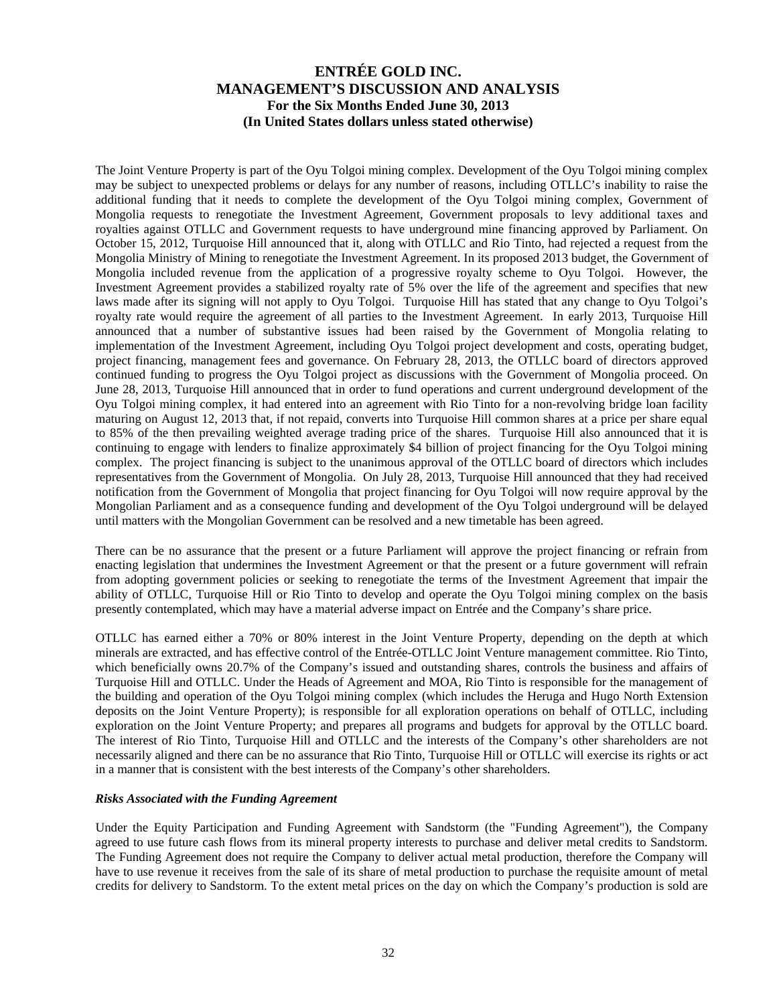The Joint Venture Property is part of the Oyu Tolgoi mining complex. Development of the Oyu Tolgoi mining complex may be subject to unexpected problems or delays for any number of reasons, including OTLLC's inability to raise the additional funding that it needs to complete the development of the Oyu Tolgoi mining complex, Government of Mongolia requests to renegotiate the Investment Agreement, Government proposals to levy additional taxes and royalties against OTLLC and Government requests to have underground mine financing approved by Parliament. On October 15, 2012, Turquoise Hill announced that it, along with OTLLC and Rio Tinto, had rejected a request from the Mongolia Ministry of Mining to renegotiate the Investment Agreement. In its proposed 2013 budget, the Government of Mongolia included revenue from the application of a progressive royalty scheme to Oyu Tolgoi. However, the Investment Agreement provides a stabilized royalty rate of 5% over the life of the agreement and specifies that new laws made after its signing will not apply to Oyu Tolgoi. Turquoise Hill has stated that any change to Oyu Tolgoi's royalty rate would require the agreement of all parties to the Investment Agreement. In early 2013, Turquoise Hill announced that a number of substantive issues had been raised by the Government of Mongolia relating to implementation of the Investment Agreement, including Oyu Tolgoi project development and costs, operating budget, project financing, management fees and governance. On February 28, 2013, the OTLLC board of directors approved continued funding to progress the Oyu Tolgoi project as discussions with the Government of Mongolia proceed. On June 28, 2013, Turquoise Hill announced that in order to fund operations and current underground development of the Oyu Tolgoi mining complex, it had entered into an agreement with Rio Tinto for a non-revolving bridge loan facility maturing on August 12, 2013 that, if not repaid, converts into Turquoise Hill common shares at a price per share equal to 85% of the then prevailing weighted average trading price of the shares. Turquoise Hill also announced that it is continuing to engage with lenders to finalize approximately \$4 billion of project financing for the Oyu Tolgoi mining complex. The project financing is subject to the unanimous approval of the OTLLC board of directors which includes representatives from the Government of Mongolia. On July 28, 2013, Turquoise Hill announced that they had received notification from the Government of Mongolia that project financing for Oyu Tolgoi will now require approval by the Mongolian Parliament and as a consequence funding and development of the Oyu Tolgoi underground will be delayed until matters with the Mongolian Government can be resolved and a new timetable has been agreed.

There can be no assurance that the present or a future Parliament will approve the project financing or refrain from enacting legislation that undermines the Investment Agreement or that the present or a future government will refrain from adopting government policies or seeking to renegotiate the terms of the Investment Agreement that impair the ability of OTLLC, Turquoise Hill or Rio Tinto to develop and operate the Oyu Tolgoi mining complex on the basis presently contemplated, which may have a material adverse impact on Entrée and the Company's share price.

OTLLC has earned either a 70% or 80% interest in the Joint Venture Property, depending on the depth at which minerals are extracted, and has effective control of the Entrée-OTLLC Joint Venture management committee. Rio Tinto, which beneficially owns 20.7% of the Company's issued and outstanding shares, controls the business and affairs of Turquoise Hill and OTLLC. Under the Heads of Agreement and MOA, Rio Tinto is responsible for the management of the building and operation of the Oyu Tolgoi mining complex (which includes the Heruga and Hugo North Extension deposits on the Joint Venture Property); is responsible for all exploration operations on behalf of OTLLC, including exploration on the Joint Venture Property; and prepares all programs and budgets for approval by the OTLLC board. The interest of Rio Tinto, Turquoise Hill and OTLLC and the interests of the Company's other shareholders are not necessarily aligned and there can be no assurance that Rio Tinto, Turquoise Hill or OTLLC will exercise its rights or act in a manner that is consistent with the best interests of the Company's other shareholders.

#### *Risks Associated with the Funding Agreement*

Under the Equity Participation and Funding Agreement with Sandstorm (the "Funding Agreement"), the Company agreed to use future cash flows from its mineral property interests to purchase and deliver metal credits to Sandstorm. The Funding Agreement does not require the Company to deliver actual metal production, therefore the Company will have to use revenue it receives from the sale of its share of metal production to purchase the requisite amount of metal credits for delivery to Sandstorm. To the extent metal prices on the day on which the Company's production is sold are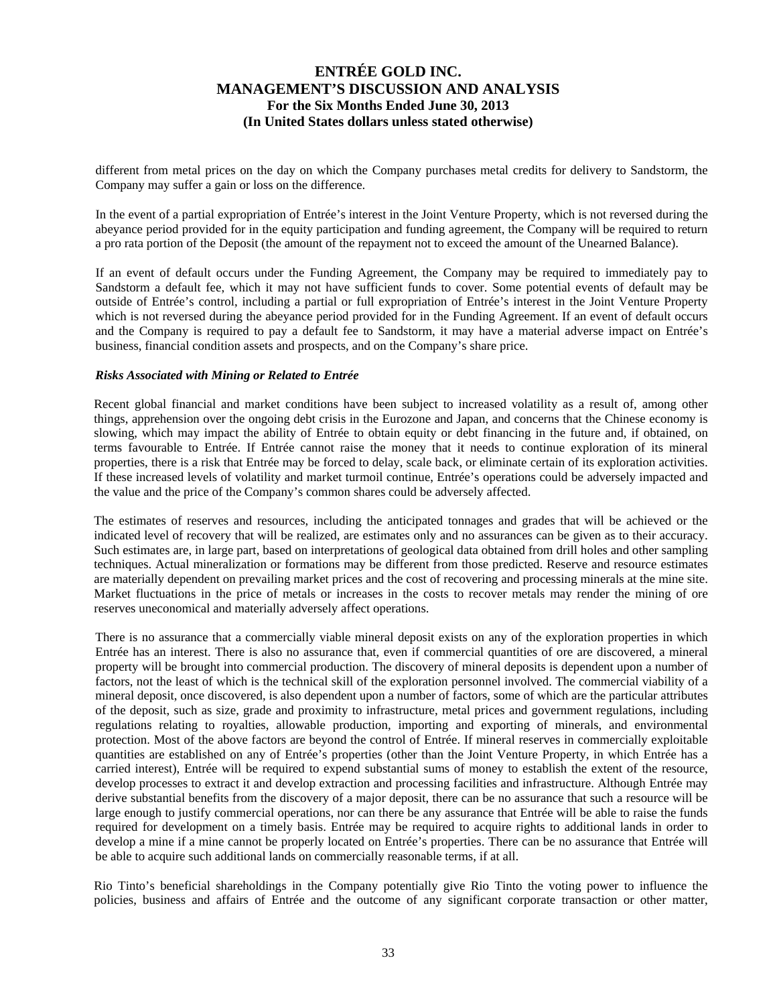different from metal prices on the day on which the Company purchases metal credits for delivery to Sandstorm, the Company may suffer a gain or loss on the difference.

In the event of a partial expropriation of Entrée's interest in the Joint Venture Property, which is not reversed during the abeyance period provided for in the equity participation and funding agreement, the Company will be required to return a pro rata portion of the Deposit (the amount of the repayment not to exceed the amount of the Unearned Balance).

If an event of default occurs under the Funding Agreement, the Company may be required to immediately pay to Sandstorm a default fee, which it may not have sufficient funds to cover. Some potential events of default may be outside of Entrée's control, including a partial or full expropriation of Entrée's interest in the Joint Venture Property which is not reversed during the abeyance period provided for in the Funding Agreement. If an event of default occurs and the Company is required to pay a default fee to Sandstorm, it may have a material adverse impact on Entrée's business, financial condition assets and prospects, and on the Company's share price.

#### *Risks Associated with Mining or Related to Entrée*

Recent global financial and market conditions have been subject to increased volatility as a result of, among other things, apprehension over the ongoing debt crisis in the Eurozone and Japan, and concerns that the Chinese economy is slowing, which may impact the ability of Entrée to obtain equity or debt financing in the future and, if obtained, on terms favourable to Entrée. If Entrée cannot raise the money that it needs to continue exploration of its mineral properties, there is a risk that Entrée may be forced to delay, scale back, or eliminate certain of its exploration activities. If these increased levels of volatility and market turmoil continue, Entrée's operations could be adversely impacted and the value and the price of the Company's common shares could be adversely affected.

The estimates of reserves and resources, including the anticipated tonnages and grades that will be achieved or the indicated level of recovery that will be realized, are estimates only and no assurances can be given as to their accuracy. Such estimates are, in large part, based on interpretations of geological data obtained from drill holes and other sampling techniques. Actual mineralization or formations may be different from those predicted. Reserve and resource estimates are materially dependent on prevailing market prices and the cost of recovering and processing minerals at the mine site. Market fluctuations in the price of metals or increases in the costs to recover metals may render the mining of ore reserves uneconomical and materially adversely affect operations.

There is no assurance that a commercially viable mineral deposit exists on any of the exploration properties in which Entrée has an interest. There is also no assurance that, even if commercial quantities of ore are discovered, a mineral property will be brought into commercial production. The discovery of mineral deposits is dependent upon a number of factors, not the least of which is the technical skill of the exploration personnel involved. The commercial viability of a mineral deposit, once discovered, is also dependent upon a number of factors, some of which are the particular attributes of the deposit, such as size, grade and proximity to infrastructure, metal prices and government regulations, including regulations relating to royalties, allowable production, importing and exporting of minerals, and environmental protection. Most of the above factors are beyond the control of Entrée. If mineral reserves in commercially exploitable quantities are established on any of Entrée's properties (other than the Joint Venture Property, in which Entrée has a carried interest), Entrée will be required to expend substantial sums of money to establish the extent of the resource, develop processes to extract it and develop extraction and processing facilities and infrastructure. Although Entrée may derive substantial benefits from the discovery of a major deposit, there can be no assurance that such a resource will be large enough to justify commercial operations, nor can there be any assurance that Entrée will be able to raise the funds required for development on a timely basis. Entrée may be required to acquire rights to additional lands in order to develop a mine if a mine cannot be properly located on Entrée's properties. There can be no assurance that Entrée will be able to acquire such additional lands on commercially reasonable terms, if at all.

Rio Tinto's beneficial shareholdings in the Company potentially give Rio Tinto the voting power to influence the policies, business and affairs of Entrée and the outcome of any significant corporate transaction or other matter,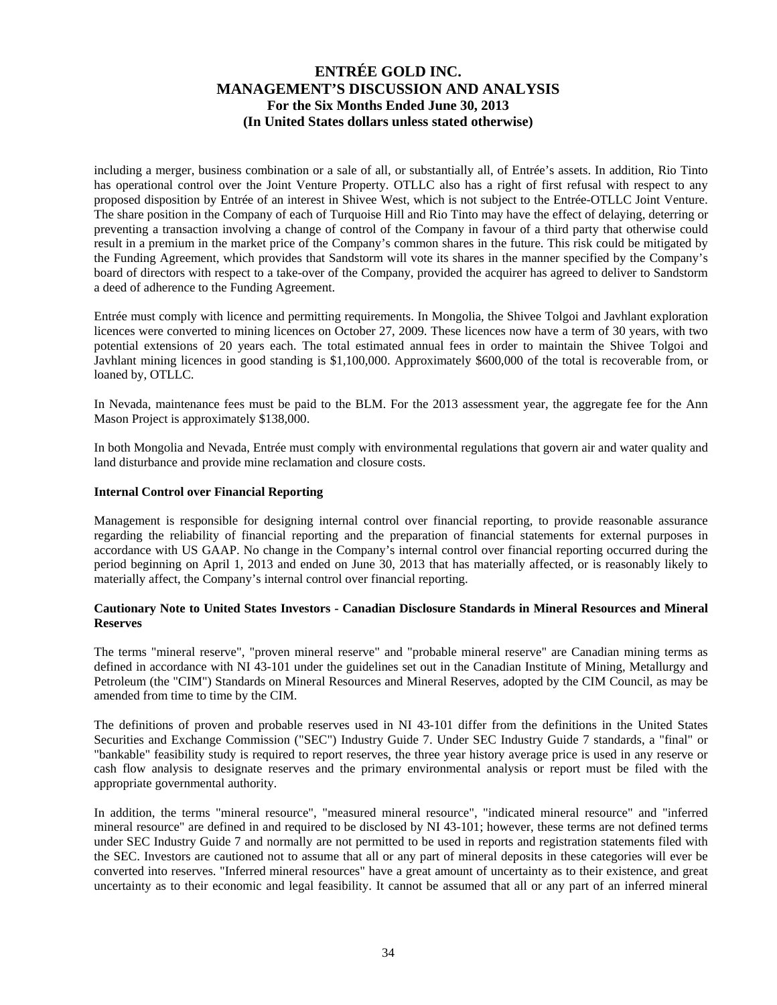including a merger, business combination or a sale of all, or substantially all, of Entrée's assets. In addition, Rio Tinto has operational control over the Joint Venture Property. OTLLC also has a right of first refusal with respect to any proposed disposition by Entrée of an interest in Shivee West, which is not subject to the Entrée-OTLLC Joint Venture. The share position in the Company of each of Turquoise Hill and Rio Tinto may have the effect of delaying, deterring or preventing a transaction involving a change of control of the Company in favour of a third party that otherwise could result in a premium in the market price of the Company's common shares in the future. This risk could be mitigated by the Funding Agreement, which provides that Sandstorm will vote its shares in the manner specified by the Company's board of directors with respect to a take-over of the Company, provided the acquirer has agreed to deliver to Sandstorm a deed of adherence to the Funding Agreement.

Entrée must comply with licence and permitting requirements. In Mongolia, the Shivee Tolgoi and Javhlant exploration licences were converted to mining licences on October 27, 2009. These licences now have a term of 30 years, with two potential extensions of 20 years each. The total estimated annual fees in order to maintain the Shivee Tolgoi and Javhlant mining licences in good standing is \$1,100,000. Approximately \$600,000 of the total is recoverable from, or loaned by, OTLLC.

In Nevada, maintenance fees must be paid to the BLM. For the 2013 assessment year, the aggregate fee for the Ann Mason Project is approximately \$138,000.

In both Mongolia and Nevada, Entrée must comply with environmental regulations that govern air and water quality and land disturbance and provide mine reclamation and closure costs.

#### **Internal Control over Financial Reporting**

Management is responsible for designing internal control over financial reporting, to provide reasonable assurance regarding the reliability of financial reporting and the preparation of financial statements for external purposes in accordance with US GAAP. No change in the Company's internal control over financial reporting occurred during the period beginning on April 1, 2013 and ended on June 30, 2013 that has materially affected, or is reasonably likely to materially affect, the Company's internal control over financial reporting.

#### **Cautionary Note to United States Investors - Canadian Disclosure Standards in Mineral Resources and Mineral Reserves**

The terms "mineral reserve", "proven mineral reserve" and "probable mineral reserve" are Canadian mining terms as defined in accordance with NI 43-101 under the guidelines set out in the Canadian Institute of Mining, Metallurgy and Petroleum (the "CIM") Standards on Mineral Resources and Mineral Reserves, adopted by the CIM Council, as may be amended from time to time by the CIM.

The definitions of proven and probable reserves used in NI 43-101 differ from the definitions in the United States Securities and Exchange Commission ("SEC") Industry Guide 7. Under SEC Industry Guide 7 standards, a "final" or "bankable" feasibility study is required to report reserves, the three year history average price is used in any reserve or cash flow analysis to designate reserves and the primary environmental analysis or report must be filed with the appropriate governmental authority.

In addition, the terms "mineral resource", "measured mineral resource", "indicated mineral resource" and "inferred mineral resource" are defined in and required to be disclosed by NI 43-101; however, these terms are not defined terms under SEC Industry Guide 7 and normally are not permitted to be used in reports and registration statements filed with the SEC. Investors are cautioned not to assume that all or any part of mineral deposits in these categories will ever be converted into reserves. "Inferred mineral resources" have a great amount of uncertainty as to their existence, and great uncertainty as to their economic and legal feasibility. It cannot be assumed that all or any part of an inferred mineral